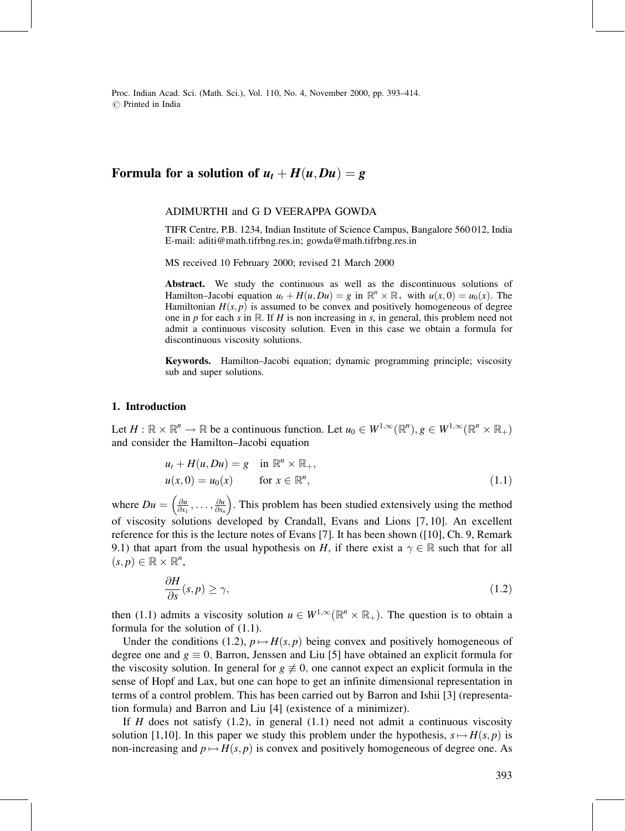Proc. Indian Acad. Sci. (Math. Sci.), Vol. 110, No. 4, November 2000, pp. 393-414.  $\circledcirc$  Printed in India

# Formula for a solution of  $u_t + H(u, Du) = g$

#### ADIMURTHI and G D VEERAPPA GOWDA

TIFR Centre, P.B. 1234, Indian Institute of Science Campus, Bangalore 560 012, India E-mail: aditi@math.tifrbng.res.in; gowda@math.tifrbng.res.in

MS received 10 February 2000; revised 21 March 2000

Abstract. We study the continuous as well as the discontinuous solutions of Hamilton-Jacobi equation  $u_t + H(u, Du) = g$  in  $\mathbb{R}^n \times \mathbb{R}_+$  with  $u(x, 0) = u_0(x)$ . The Hamiltonian  $H(s, p)$  is assumed to be convex and positively homogeneous of degree one in p for each s in  $\mathbb R$ . If H is non increasing in s, in general, this problem need not admit a continuous viscosity solution. Even in this case we obtain a formula for discontinuous viscosity solutions.

Keywords. Hamilton-Jacobi equation; dynamic programming principle; viscosity sub and super solutions.

#### 1. Introduction

Let  $H: \mathbb{R} \times \mathbb{R}^n \to \mathbb{R}$  be a continuous function. Let  $u_0 \in W^{1,\infty}(\mathbb{R}^n), g \in W^{1,\infty}(\mathbb{R}^n \times \mathbb{R}_+)$ and consider the Hamilton-Jacobi equation

$$
u_t + H(u, Du) = g \quad \text{in } \mathbb{R}^n \times \mathbb{R}_+,
$$
  

$$
u(x, 0) = u_0(x) \qquad \text{for } x \in \mathbb{R}^n,
$$
 (1.1)

where  $Du = \left(\frac{\partial u}{\partial x_1}, \ldots, \frac{\partial u}{\partial x_n}\right)$  $\left(\frac{\partial u}{\partial x}, \ldots, \frac{\partial u}{\partial y}\right)$ . This problem has been studied extensively using the method of viscosity solutions developed by Crandall, Evans and Lions [7, 10]. An excellent reference for this is the lecture notes of Evans [7]. It has been shown ([10], Ch. 9, Remark 9.1) that apart from the usual hypothesis on H, if there exist a  $\gamma \in \mathbb{R}$  such that for all  $(s, p) \in \mathbb{R} \times \mathbb{R}^n$ ,

$$
\frac{\partial H}{\partial s}(s, p) \ge \gamma,\tag{1.2}
$$

then (1.1) admits a viscosity solution  $u \in W^{1,\infty}(\mathbb{R}^n \times \mathbb{R}_+)$ . The question is to obtain a formula for the solution of (1.1).

Under the conditions (1.2),  $p \mapsto H(s, p)$  being convex and positively homogeneous of degree one and  $g \equiv 0$ , Barron, Jenssen and Liu [5] have obtained an explicit formula for the viscosity solution. In general for  $g \neq 0$ , one cannot expect an explicit formula in the sense of Hopf and Lax, but one can hope to get an infinite dimensional representation in terms of a control problem. This has been carried out by Barron and Ishii [3] (representation formula) and Barron and Liu [4] (existence of a minimizer).

If  $H$  does not satisfy (1.2), in general (1.1) need not admit a continuous viscosity solution [1,10]. In this paper we study this problem under the hypothesis,  $s \mapsto H(s, p)$  is non-increasing and  $p \mapsto H(s, p)$  is convex and positively homogeneous of degree one. As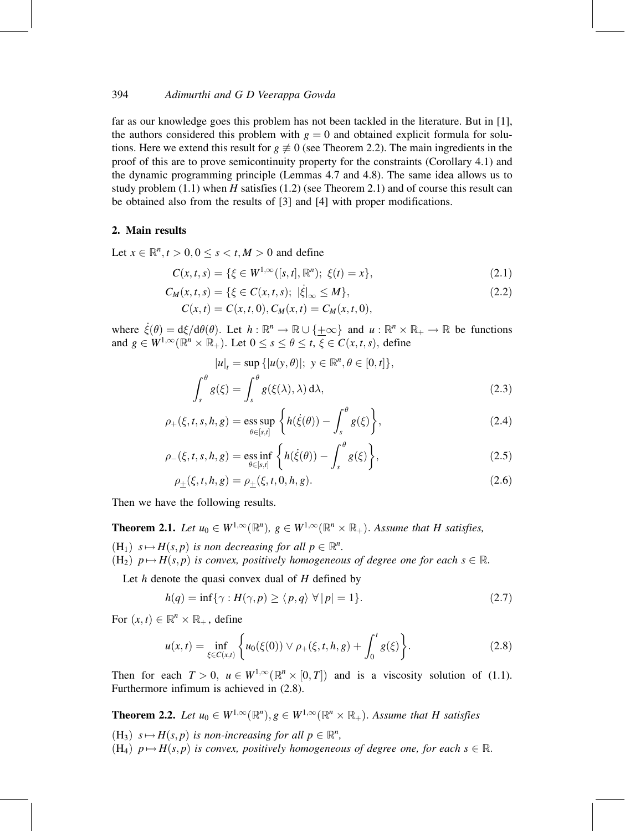far as our knowledge goes this problem has not been tackled in the literature. But in [1], the authors considered this problem with  $g = 0$  and obtained explicit formula for solutions. Here we extend this result for  $g \neq 0$  (see Theorem 2.2). The main ingredients in the proof of this are to prove semicontinuity property for the constraints (Corollary 4.1) and the dynamic programming principle (Lemmas 4.7 and 4.8). The same idea allows us to study problem  $(1.1)$  when H satisfies  $(1.2)$  (see Theorem 2.1) and of course this result can be obtained also from the results of [3] and [4] with proper modifications.

### 2. Main results

Let  $x \in \mathbb{R}^n, t > 0, 0 \le s < t, M > 0$  and define

$$
C(x, t, s) = \{ \xi \in W^{1, \infty}([s, t], \mathbb{R}^n); \ \xi(t) = x \},\tag{2.1}
$$

$$
C_M(x, t, s) = \{ \xi \in C(x, t, s); \ |\dot{\xi}|_{\infty} \le M \},
$$
\n(2.2)

$$
C(x,t) = C(x,t,0), C_M(x,t) = C_M(x,t,0),
$$

where  $\dot{\xi}(\theta) = d\xi/d\theta(\theta)$ . Let  $h : \mathbb{R}^n \to \mathbb{R} \cup {\{\pm \infty\}}$  and  $u : \mathbb{R}^n \times \mathbb{R}_+ \to \mathbb{R}$  be functions and  $g \in W^{1,\infty}(\mathbb{R}^n \times \mathbb{R}_+)$ . Let  $0 \le s \le \theta \le t$ ,  $\xi \in C(x,t,s)$ , define

$$
|u|_{t} = \sup \{|u(y, \theta)|; y \in \mathbb{R}^{n}, \theta \in [0, t]\},
$$

$$
\int_{s}^{\theta} g(\xi) = \int_{s}^{\theta} g(\xi(\lambda), \lambda) d\lambda,
$$
(2.3)

$$
\rho_{+}(\xi, t, s, h, g) = \underset{\theta \in [s, t]}{\text{ess sup}} \left\{ h(\dot{\xi}(\theta)) - \int_{s}^{\theta} g(\xi) \right\},\tag{2.4}
$$

$$
\rho_{-}(\xi, t, s, h, g) = \underset{\theta \in [s, t]}{\text{ess inf}} \left\{ h(\dot{\xi}(\theta)) - \int_{s}^{\theta} g(\xi) \right\},\tag{2.5}
$$

$$
\rho_{\pm}(\xi, t, h, g) = \rho_{\pm}(\xi, t, 0, h, g). \tag{2.6}
$$

Then we have the following results.

**Theorem 2.1.** Let  $u_0 \in W^{1,\infty}(\mathbb{R}^n)$ ,  $g \in W^{1,\infty}(\mathbb{R}^n \times \mathbb{R}_+)$ . Assume that H satisfies,

 $(H_1)$   $s \mapsto H(s, p)$  is non decreasing for all  $p \in \mathbb{R}^n$ .  $(H_2)$   $p \mapsto H(s, p)$  is convex, positively homogeneous of degree one for each  $s \in \mathbb{R}$ .

Let  $h$  denote the quasi convex dual of  $H$  defined by

$$
h(q) = \inf \{ \gamma : H(\gamma, p) \ge \langle p, q \rangle \ \forall \, |p| = 1 \}. \tag{2.7}
$$

For  $(x, t) \in \mathbb{R}^n \times \mathbb{R}_+$ , define

$$
u(x,t) = \inf_{\xi \in C(x,t)} \left\{ u_0(\xi(0)) \vee \rho_+(\xi,t,h,g) + \int_0^t g(\xi) \right\}.
$$
 (2.8)

Then for each  $T > 0$ ,  $u \in W^{1,\infty}(\mathbb{R}^n \times [0,T])$  and is a viscosity solution of (1.1). Furthermore infimum is achieved in (2.8).

**Theorem 2.2.** Let  $u_0 \in W^{1,\infty}(\mathbb{R}^n)$ ,  $g \in W^{1,\infty}(\mathbb{R}^n \times \mathbb{R}_+)$ . Assume that H satisfies

 $(H_3)$   $s \mapsto H(s, p)$  is non-increasing for all  $p \in \mathbb{R}^n$ ,  $(H_4)$   $p \mapsto H(s, p)$  is convex, positively homogeneous of degree one, for each  $s \in \mathbb{R}$ .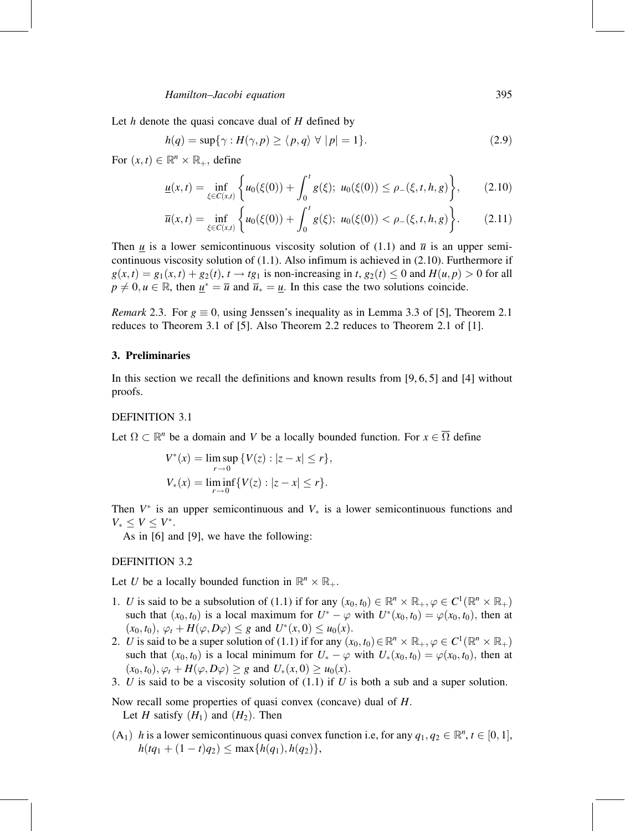Let  $h$  denote the quasi concave dual of  $H$  defined by

$$
h(q) = \sup\{\gamma : H(\gamma, p) \ge \langle p, q \rangle \ \forall \ |p| = 1\}.
$$
 (2.9)

For  $(x, t) \in \mathbb{R}^n \times \mathbb{R}_+$ , define

$$
\underline{u}(x,t) = \inf_{\xi \in C(x,t)} \left\{ u_0(\xi(0)) + \int_0^t g(\xi); \ u_0(\xi(0)) \le \rho_-(\xi,t,h,g) \right\},\tag{2.10}
$$

$$
\overline{u}(x,t) = \inf_{\xi \in C(x,t)} \left\{ u_0(\xi(0)) + \int_0^t g(\xi); \ u_0(\xi(0)) < \rho_-(\xi,t,h,g) \right\}.
$$
 (2.11)

Then  $\mu$  is a lower semicontinuous viscosity solution of (1.1) and  $\bar{u}$  is an upper semicontinuous viscosity solution of (1.1). Also infimum is achieved in (2.10). Furthermore if  $g(x,t) = g_1(x,t) + g_2(t), t \rightarrow tg_1$  is non-increasing in t,  $g_2(t) \le 0$  and  $H(u,p) > 0$  for all  $p \neq 0, u \in \mathbb{R}$ , then  $\underline{u}^* = \overline{u}$  and  $\overline{u}_* = \underline{u}$ . In this case the two solutions coincide.

*Remark* 2.3. For  $g \equiv 0$ , using Jenssen's inequality as in Lemma 3.3 of [5], Theorem 2.1 reduces to Theorem 3.1 of [5]. Also Theorem 2.2 reduces to Theorem 2.1 of [1].

#### 3. Preliminaries

In this section we recall the definitions and known results from [9, 6, 5] and [4] without proofs.

#### DEFINITION 3.1

Let  $\Omega \subset \mathbb{R}^n$  be a domain and V be a locally bounded function. For  $x \in \overline{\Omega}$  define

$$
V^*(x) = \limsup_{r \to 0} \{ V(z) : |z - x| \le r \},
$$
  

$$
V_*(x) = \liminf_{r \to 0} \{ V(z) : |z - x| \le r \}.
$$

Then  $V^*$  is an upper semicontinuous and  $V_*$  is a lower semicontinuous functions and  $V_* < V < V^*$ .

As in [6] and [9], we have the following:

### DEFINITION 3.2

Let U be a locally bounded function in  $\mathbb{R}^n \times \mathbb{R}_+$ .

- 1. U is said to be a subsolution of (1.1) if for any  $(x_0, t_0) \in \mathbb{R}^n \times \mathbb{R}_+, \varphi \in C^1(\mathbb{R}^n \times \mathbb{R}_+)$ such that  $(x_0, t_0)$  is a local maximum for  $U^* - \varphi$  with  $U^*(x_0, t_0) = \varphi(x_0, t_0)$ , then at  $(x_0, t_0), \varphi_t + H(\varphi, D\varphi) \leq g$  and  $U^*(x, 0) \leq u_0(x)$ .
- 2. U is said to be a super solution of (1.1) if for any  $(x_0, t_0) \in \mathbb{R}^n \times \mathbb{R}_+, \varphi \in C^1(\mathbb{R}^n \times \mathbb{R}_+)$ such that  $(x_0, t_0)$  is a local minimum for  $U_* - \varphi$  with  $U_*(x_0, t_0) = \varphi(x_0, t_0)$ , then at  $(x_0, t_0), \varphi_t + H(\varphi, D\varphi) \geq g$  and  $U_*(x, 0) \geq u_0(x)$ .
- 3. U is said to be a viscosity solution of  $(1.1)$  if U is both a sub and a super solution.

Now recall some properties of quasi convex (concave) dual of H. Let H satisfy  $(H_1)$  and  $(H_2)$ . Then

 $(A_1)$  h is a lower semicontinuous quasi convex function i.e, for any  $q_1, q_2 \in \mathbb{R}^n$ ,  $t \in [0, 1]$ ,  $h(tq_1 + (1 - t)q_2) \leq \max\{h(q_1), h(q_2)\},\$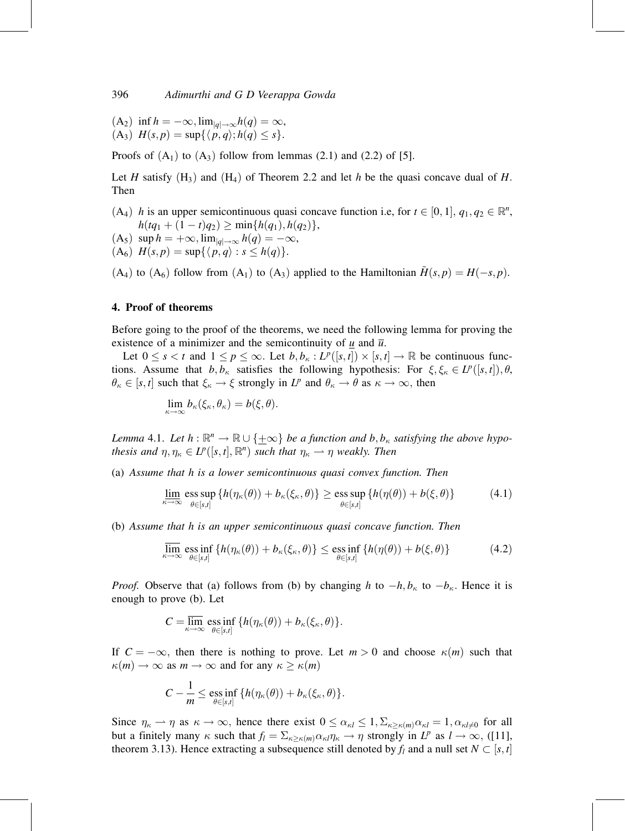$(A_2)$  inf  $h = -\infty$ ,  $\lim_{|q| \to \infty} h(q) = \infty$ ,  $(A_3)$   $H(s, p) = \sup\{\langle p, q \rangle; h(q) \leq s\}.$ 

Proofs of  $(A_1)$  to  $(A_3)$  follow from lemmas (2.1) and (2.2) of [5].

Let H satisfy  $(H_3)$  and  $(H_4)$  of Theorem 2.2 and let h be the quasi concave dual of H. Then

(A<sub>4</sub>) h is an upper semicontinuous quasi concave function i.e, for  $t \in [0, 1], q_1, q_2 \in \mathbb{R}^n$ ,  $h(tq_1 + (1-t)q_2) \geq \min\{h(q_1), h(q_2)\},\$  $(A_5)$  sup  $h = +\infty$ ,  $\lim_{|q| \to \infty} h(q) = -\infty$ ,  $(A_6)$   $H(s, p) = \sup\{\langle p, q \rangle : s \leq h(q)\}.$ 

 $(A_4)$  to  $(A_6)$  follow from  $(A_1)$  to  $(A_3)$  applied to the Hamiltonian  $H(s, p) = H(-s, p)$ .

#### 4. Proof of theorems

Before going to the proof of the theorems, we need the following lemma for proving the existence of a minimizer and the semicontinuity of u and  $\overline{u}$ .

Let  $0 \le s < t$  and  $1 \le p \le \infty$ . Let  $b, b_{\kappa} : L^p([s, t]) \times [s, t] \to \mathbb{R}$  be continuous functions. Assume that  $b, b_{\kappa}$  satisfies the following hypothesis: For  $\xi, \xi_{\kappa} \in L^p([s, t]), \theta$ ,  $\theta_{\kappa} \in [s, t]$  such that  $\xi_{\kappa} \to \xi$  strongly in  $L^p$  and  $\theta_{\kappa} \to \theta$  as  $\kappa \to \infty$ , then

$$
\lim_{\kappa \to \infty} b_{\kappa}(\xi_{\kappa}, \theta_{\kappa}) = b(\xi, \theta).
$$

Lemma 4.1. Let  $h : \mathbb{R}^n \to \mathbb{R} \cup \{+\infty\}$  be a function and b,  $b_{\kappa}$  satisfying the above hypothesis and  $\eta, \eta_{\kappa} \in L^p([s, t], \mathbb{R}^n)$  such that  $\eta_{\kappa} \longrightarrow \eta$  weakly. Then

(a) Assume that h is a lower semicontinuous quasi convex function. Then

$$
\underline{\lim}_{\kappa \to \infty} \operatorname*{ess\,sup}_{\theta \in [s,t]} \left\{ h(\eta_{\kappa}(\theta)) + b_{\kappa}(\xi_{\kappa}, \theta) \right\} \ge \operatorname*{ess\,sup}_{\theta \in [s,t]} \left\{ h(\eta(\theta)) + b(\xi, \theta) \right\} \tag{4.1}
$$

(b) Assume that h is an upper semicontinuous quasi concave function. Then

$$
\overline{\lim}_{\kappa \to \infty} \operatorname*{ess\,inf}_{\theta \in [s,t]} \left\{ h(\eta_{\kappa}(\theta)) + b_{\kappa}(\xi_{\kappa}, \theta) \right\} \le \operatorname*{ess\,inf}_{\theta \in [s,t]} \left\{ h(\eta(\theta)) + b(\xi, \theta) \right\} \tag{4.2}
$$

*Proof.* Observe that (a) follows from (b) by changing h to  $-h, b_{\kappa}$  to  $-b_{\kappa}$ . Hence it is enough to prove (b). Let

$$
C = \overline{\lim}_{\kappa \to \infty} \underset{\theta \in [s,t]}{\text{ess inf}} \{ h(\eta_{\kappa}(\theta)) + b_{\kappa}(\xi_{\kappa}, \theta) \}.
$$

If  $C = -\infty$ , then there is nothing to prove. Let  $m > 0$  and choose  $\kappa(m)$  such that  $\kappa(m) \to \infty$  as  $m \to \infty$  and for any  $\kappa \ge \kappa(m)$ 

$$
C - \frac{1}{m} \le \underset{\theta \in [s,t]}{\mathrm{ess\,inf}} \{ h(\eta_{\kappa}(\theta)) + b_{\kappa}(\xi_{\kappa}, \theta) \}.
$$

Since  $\eta_{\kappa} \to \eta$  as  $\kappa \to \infty$ , hence there exist  $0 \le \alpha_{\kappa l} \le 1$ ,  $\Sigma_{\kappa \ge \kappa(m)} \alpha_{\kappa l} = 1$ ,  $\alpha_{\kappa l \ne 0}$  for all but a finitely many  $\kappa$  such that  $f_l = \sum_{\kappa \ge \kappa(m)} \alpha_{\kappa l} \eta_{\kappa} \to \eta$  strongly in  $L^p$  as  $l \to \infty$ , ([11], theorem 3.13). Hence extracting a subsequence still denoted by  $f_l$  and a null set  $N \subset [s, t]$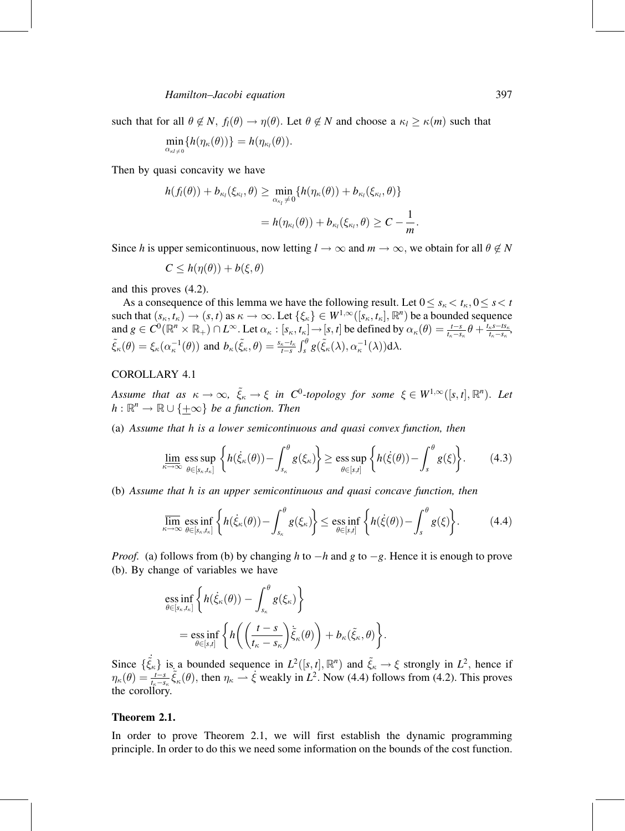such that for all  $\theta \notin N$ ,  $f_l(\theta) \to \eta(\theta)$ . Let  $\theta \notin N$  and choose a  $\kappa_l \ge \kappa(m)$  such that

$$
\min_{\alpha_{\kappa l\neq 0}}\{h(\eta_{\kappa}(\theta))\}=h(\eta_{\kappa_l}(\theta)).
$$

Then by quasi concavity we have

$$
h(f_i(\theta)) + b_{\kappa_i}(\xi_{\kappa_i}, \theta) \ge \min_{\alpha_{\kappa_i} \neq 0} \{ h(\eta_{\kappa}(\theta)) + b_{\kappa_i}(\xi_{\kappa_i}, \theta) \}
$$
  
=  $h(\eta_{\kappa_i}(\theta)) + b_{\kappa_i}(\xi_{\kappa_i}, \theta) \ge C - \frac{1}{m}.$ 

Since h is upper semicontinuous, now letting  $l \to \infty$  and  $m \to \infty$ , we obtain for all  $\theta \notin N$ 

$$
C \leq h(\eta(\theta)) + b(\xi, \theta)
$$

and this proves (4.2).

As a consequence of this lemma we have the following result. Let  $0 \leq s_{\kappa} < t_{\kappa}, 0 \leq s < t$ such that  $(s_{\kappa}, t_{\kappa}) \to (s, t)$  as  $\kappa \to \infty$ . Let  $\{\xi_{\kappa}\}\in W^{1,\infty}([\tilde{s_{\kappa}}, t_{\kappa}], \mathbb{R}^{n})$  be a bounded sequence and  $g \in C^0(\mathbb{R}^n \times \mathbb{R}_+) \cap L^{\infty}$ . Let  $\alpha_{\kappa} : [s_{\kappa}, t_{\kappa}] \to [s, t]$  be defined by  $\alpha_{\kappa}(\theta) = \frac{t-s}{t_{\kappa}-s_{\kappa}} \theta + \frac{t_{\kappa}s - ts_{\kappa}}{t_{\kappa}-s_{\kappa}}$  $\tilde{\xi}_{\kappa}(\theta) = \xi_{\kappa}(\alpha_{\kappa}^{-1}(\theta))$  and  $b_{\kappa}(\tilde{\xi}_{\kappa}, \theta) = \frac{s_{\kappa} - t_{\kappa}}{t - s} \int_{s}^{\theta} g(\tilde{\xi}_{\kappa}(\lambda), \alpha_{\kappa}^{-1}(\lambda)) d\lambda$ .

#### COROLLARY 4.1

Assume that as  $\kappa\to\infty$ ,  $\tilde\xi_\kappa\to \xi$  in  $C^0$ -topology for some  $\xi\in W^{1,\infty}([s,t],{\mathbb R}^n)$ . Let  $h : \mathbb{R}^n \to \mathbb{R} \cup \{+\infty\}$  be a function. Then

(a) Assume that h is a lower semicontinuous and quasi convex function, then

$$
\underline{\lim}_{\kappa \to \infty} \operatorname*{ess\,sup}_{\theta \in [s_{\kappa}, t_{\kappa}]} \left\{ h(\dot{\xi}_{\kappa}(\theta)) - \int_{s_{\kappa}}^{\theta} g(\xi_{\kappa}) \right\} \ge \operatorname*{ess\,sup}_{\theta \in [s,t]} \left\{ h(\dot{\xi}(\theta)) - \int_{s}^{\theta} g(\xi) \right\}.
$$
 (4.3)

(b) Assume that h is an upper semicontinuous and quasi concave function, then

$$
\overline{\lim}_{\kappa \to \infty} \operatorname*{ess\,inf}_{\theta \in [s_{\kappa}, t_{\kappa}]} \left\{ h(\dot{\xi}_{\kappa}(\theta)) - \int_{s_{\kappa}}^{\theta} g(\xi_{\kappa}) \right\} \le \operatorname*{ess\,inf}_{\theta \in [s, t]} \left\{ h(\dot{\xi}(\theta)) - \int_{s}^{\theta} g(\xi) \right\}.
$$
 (4.4)

*Proof.* (a) follows from (b) by changing h to  $-h$  and g to  $-g$ . Hence it is enough to prove (b). By change of variables we have

$$
\operatorname{ess\,inf}_{\theta \in [s_{\kappa}, t_{\kappa}]} \left\{ h(\dot{\xi}_{\kappa}(\theta)) - \int_{s_{\kappa}}^{\theta} g(\xi_{\kappa}) \right\} \n= \operatorname{ess\,inf}_{\theta \in [s, t]} \left\{ h\left( \left( \frac{t - s}{t_{\kappa} - s_{\kappa}} \right) \tilde{\xi}_{\kappa}(\theta) \right) + b_{\kappa}(\tilde{\xi}_{\kappa}, \theta) \right\}.
$$

Since  $\{\dot{\vec{\xi}}_{\kappa}\}\$  is a bounded sequence in  $L^2([s,t], \mathbb{R}^n)$  and  $\tilde{\xi}_{\kappa} \to \xi$  strongly in  $L^2$ , hence if  $\eta_\kappa(\theta) = \frac{t-s}{t_\kappa-s_\kappa}$  $\tilde{\xi}_\kappa(\theta)$ , then  $\eta_\kappa \to \xi$  weakly in  $L^2$ . Now (4.4) follows from (4.2). This proves the corollory.

## Theorem 2.1.

In order to prove Theorem 2.1, we will first establish the dynamic programming principle. In order to do this we need some information on the bounds of the cost function.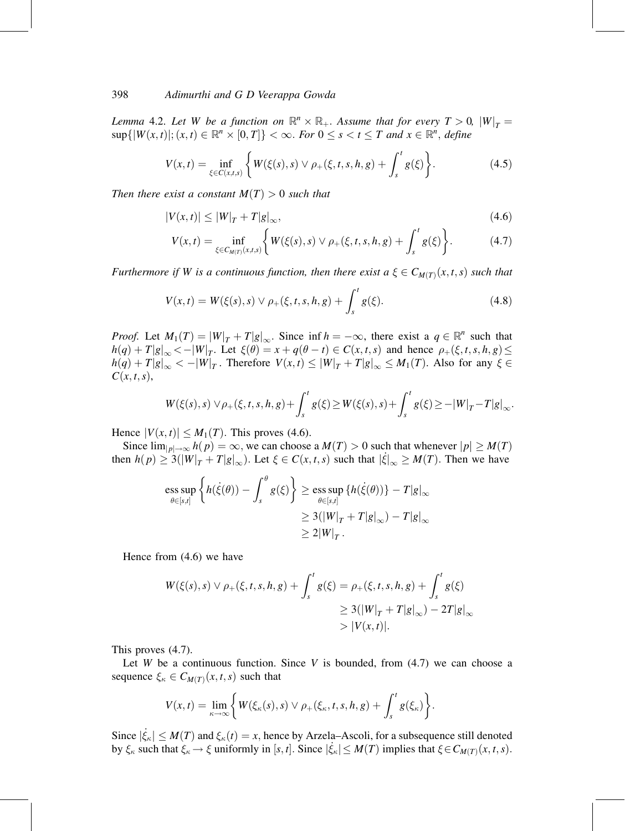Lemma 4.2. Let W be a function on  $\mathbb{R}^n \times \mathbb{R}_+$ . Assume that for every  $T > 0$ ,  $|W|_T =$  $\sup\{|W(x,t)|; (x,t) \in \mathbb{R}^n \times [0,T]\} < \infty$ . For  $0 \le s < t \le T$  and  $x \in \mathbb{R}^n$ , define

$$
V(x,t) = \inf_{\xi \in C(x,t,s)} \left\{ W(\xi(s),s) \vee \rho_+(\xi,t,s,h,g) + \int_s^t g(\xi) \right\}.
$$
 (4.5)

Then there exist a constant  $M(T) > 0$  such that

$$
|V(x,t)| \le |W|_T + T|g|_\infty,\tag{4.6}
$$

$$
V(x,t) = \inf_{\xi \in C_{M(T)}(x,t,s)} \left\{ W(\xi(s),s) \vee \rho_+(\xi,t,s,h,g) + \int_s^t g(\xi) \right\}.
$$
 (4.7)

Furthermore if W is a continuous function, then there exist  $a \xi \in C_{M(T)}(x, t, s)$  such that

$$
V(x,t) = W(\xi(s),s) \vee \rho_{+}(\xi,t,s,h,g) + \int_{s}^{t} g(\xi).
$$
 (4.8)

*Proof.* Let  $M_1(T) = |W|_T + T|g|_{\infty}$ . Since inf  $h = -\infty$ , there exist a  $q \in \mathbb{R}^n$  such that  $h(q) + T|g|_{\infty} < -|W|_{T}$ . Let  $\xi(\theta) = x + q(\theta - t) \in C(x, t, s)$  and hence  $\rho_{+}(\xi, t, s, h, g) \le$  $h(q) + T|g|_{\infty} < -|W|_T$ . Therefore  $V(x,t) \leq |W|_T + T|g|_{\infty} \leq M_1(T)$ . Also for any  $\xi \in$  $C(x, t, s),$ 

$$
W(\xi(s),s) \vee \rho_+(\xi,t,s,h,g) + \int_s^t g(\xi) \ge W(\xi(s),s) + \int_s^t g(\xi) \ge -|W|_T - T|g|_\infty.
$$

Hence  $|V(x, t)| \leq M_1(T)$ . This proves (4.6).

Since  $\lim_{|p| \to \infty} h(p) = \infty$ , we can choose a  $M(T) > 0$  such that whenever  $|p| \ge M(T)$ then  $h(p) \ge 3(|W|_T + T|g|_\infty)$ . Let  $\xi \in C(x,t,s)$  such that  $|\dot{\xi}|_\infty \ge M(T)$ . Then we have

$$
\begin{aligned} \underset{\theta \in [s,t]}{\text{ess sup}} \left\{ h(\dot{\xi}(\theta)) - \int_s^{\theta} g(\xi) \right\} &\geq \underset{\theta \in [s,t]}{\text{ess sup}} \left\{ h(\dot{\xi}(\theta)) \right\} - T|g|_{\infty} \\ &\geq 3(|W|_T + T|g|_{\infty}) - T|g|_{\infty} \\ &\geq 2|W|_T. \end{aligned}
$$

Hence from (4.6) we have

$$
W(\xi(s), s) \lor \rho_{+}(\xi, t, s, h, g) + \int_{s}^{t} g(\xi) = \rho_{+}(\xi, t, s, h, g) + \int_{s}^{t} g(\xi)
$$
  
\n
$$
\geq 3(|W|_{T} + T|g|_{\infty}) - 2T|g|_{\infty}
$$
  
\n
$$
> |V(x, t)|.
$$

This proves (4.7).

Let W be a continuous function. Since V is bounded, from  $(4.7)$  we can choose a sequence  $\xi_{\kappa} \in C_{M(T)}(x, t, s)$  such that

$$
V(x,t)=\lim_{\kappa\to\infty}\bigg\{W(\xi_{\kappa}(s),s)\vee\rho_{+}(\xi_{\kappa},t,s,h,g)+\int_{s}^{t}g(\xi_{\kappa})\bigg\}.
$$

Since  $|\dot{\xi}_{\kappa}| \leq M(T)$  and  $\xi_{\kappa}(t) = x$ , hence by Arzela–Ascoli, for a subsequence still denoted by  $\xi_{\kappa}$  such that  $\xi_{\kappa} \to \xi$  uniformly in [s, t]. Since  $|\xi_{\kappa}| \leq M(T)$  implies that  $\xi \in C_{M(T)}(x, t, s)$ .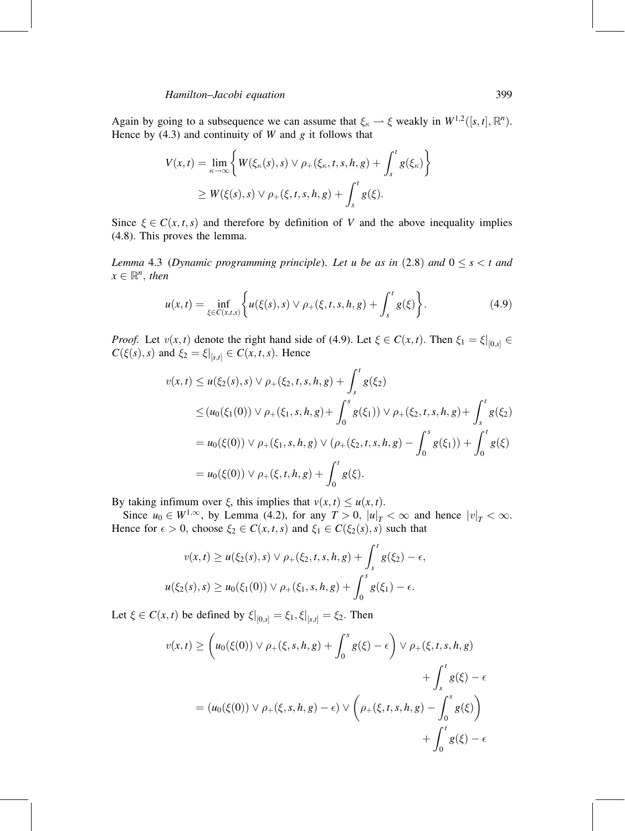Again by going to a subsequence we can assume that  $\xi_{\kappa} \to \xi$  weakly in  $W^{1,2}([s,t], \mathbb{R}^n)$ . Hence by  $(4.3)$  and continuity of W and g it follows that

$$
V(x,t) = \lim_{\kappa \to \infty} \left\{ W(\xi_{\kappa}(s),s) \vee \rho_{+}(\xi_{\kappa},t,s,h,g) + \int_{s}^{t} g(\xi_{\kappa}) \right\}
$$
  
 
$$
\geq W(\xi(s),s) \vee \rho_{+}(\xi,t,s,h,g) + \int_{s}^{t} g(\xi).
$$

Since  $\xi \in C(x, t, s)$  and therefore by definition of V and the above inequality implies (4.8). This proves the lemma.

Lemma 4.3 (Dynamic programming principle). Let u be as in  $(2.8)$  and  $0 \le s < t$  and  $x \in \mathbb{R}^n$ , then

$$
u(x,t) = \inf_{\xi \in C(x,t,s)} \left\{ u(\xi(s),s) \lor \rho_+(\xi,t,s,h,g) + \int_s^t g(\xi) \right\}.
$$
 (4.9)

*Proof.* Let  $v(x, t)$  denote the right hand side of (4.9). Let  $\xi \in C(x, t)$ . Then  $\xi_1 = \xi|_{[0, s]} \in$  $C(\xi(s), s)$  and  $\xi_2 = \xi|_{[s,t]} \in C(x, t, s)$ . Hence

$$
v(x,t) \le u(\xi_2(s),s) \vee \rho_+(\xi_2,t,s,h,g) + \int_s^t g(\xi_2)
$$
  
\n
$$
\le (u_0(\xi_1(0)) \vee \rho_+(\xi_1,s,h,g) + \int_0^s g(\xi_1)) \vee \rho_+(\xi_2,t,s,h,g) + \int_s^t g(\xi_2)
$$
  
\n
$$
= u_0(\xi(0)) \vee \rho_+(\xi_1,s,h,g) \vee (\rho_+(\xi_2,t,s,h,g) - \int_0^s g(\xi_1)) + \int_0^t g(\xi)
$$
  
\n
$$
= u_0(\xi(0)) \vee \rho_+(\xi,t,h,g) + \int_0^t g(\xi).
$$

By taking infimum over  $\xi$ , this implies that  $v(x, t) \le u(x, t)$ .

Since  $u_0 \in W^{1,\infty}$ , by Lemma (4.2), for any  $T > 0$ ,  $|u|_T < \infty$  and hence  $|v|_T < \infty$ . Hence for  $\epsilon > 0$ , choose  $\xi_2 \in C(x, t, s)$  and  $\xi_1 \in C(\xi_2(s), s)$  such that

$$
v(x,t) \ge u(\xi_2(s),s) \lor \rho_+(\xi_2,t,s,h,g) + \int_s^t g(\xi_2) - \epsilon,
$$
  

$$
u(\xi_2(s),s) \ge u_0(\xi_1(0)) \lor \rho_+(\xi_1,s,h,g) + \int_0^s g(\xi_1) - \epsilon.
$$

Let  $\xi \in C(x, t)$  be defined by  $\xi|_{[0, s]} = \xi_1, \xi|_{[s, t]} = \xi_2$ . Then

$$
v(x,t) \geq \left(u_0(\xi(0)) \vee \rho_+(\xi, s, h, g) + \int_0^s g(\xi) - \epsilon\right) \vee \rho_+(\xi, t, s, h, g) + \int_s^t g(\xi) - \epsilon = (u_0(\xi(0)) \vee \rho_+(\xi, s, h, g) - \epsilon) \vee \left(\rho_+(\xi, t, s, h, g) - \int_0^s g(\xi)\right) + \int_0^t g(\xi) - \epsilon
$$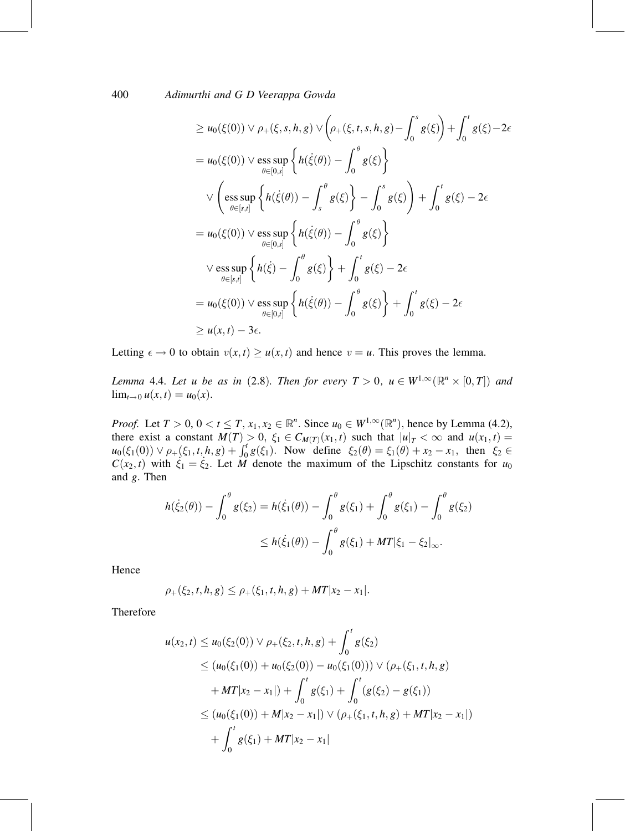$$
\geq u_0(\xi(0)) \vee \rho_+(\xi, s, h, g) \vee \left(\rho_+(\xi, t, s, h, g) - \int_0^s g(\xi)\right) + \int_0^t g(\xi) - 2\epsilon
$$
\n
$$
= u_0(\xi(0)) \vee \underset{\theta \in [0, s]}{\text{ess sup}} \left\{ h(\dot{\xi}(\theta)) - \int_0^{\theta} g(\xi) \right\}
$$
\n
$$
\vee \left( \underset{\theta \in [s, t]}{\text{ess sup}} \left\{ h(\dot{\xi}(\theta)) - \int_s^{\theta} g(\xi) \right\} - \int_0^s g(\xi) \right\} + \int_0^t g(\xi) - 2\epsilon
$$
\n
$$
= u_0(\xi(0)) \vee \underset{\theta \in [0, s]}{\text{ess sup}} \left\{ h(\dot{\xi}(\theta)) - \int_0^{\theta} g(\xi) \right\}
$$
\n
$$
\vee \underset{\theta \in [s, t]}{\text{ess sup}} \left\{ h(\dot{\xi}) - \int_0^{\theta} g(\xi) \right\} + \int_0^t g(\xi) - 2\epsilon
$$
\n
$$
= u_0(\xi(0)) \vee \underset{\theta \in [0, t]}{\text{ess sup}} \left\{ h(\dot{\xi}(\theta)) - \int_0^{\theta} g(\xi) \right\} + \int_0^t g(\xi) - 2\epsilon
$$
\n
$$
\geq u(x, t) - 3\epsilon.
$$

Letting  $\epsilon \to 0$  to obtain  $v(x, t) \ge u(x, t)$  and hence  $v = u$ . This proves the lemma.

Lemma 4.4. Let u be as in (2.8). Then for every  $T > 0$ ,  $u \in W^{1,\infty}(\mathbb{R}^n \times [0,T])$  and  $\lim_{t \to 0} u(x, t) = u_0(x)$ .

*Proof.* Let  $T > 0$ ,  $0 < t \leq T$ ,  $x_1, x_2 \in \mathbb{R}^n$ . Since  $u_0 \in W^{1,\infty}(\mathbb{R}^n)$ , hence by Lemma (4.2), there exist a constant  $M(T) > 0$ ,  $\xi_1 \in C_{M(T)}(x_1, t)$  such that  $|u|_T < \infty$  and  $u(x_1, t) =$  $u_0(\xi_1(0)) \vee \rho_+(\xi_1, t, h, g) + \int_0^t g(\xi_1)$ . Now define  $\xi_2(\theta) = \xi_1(\theta) + x_2 - x_1$ , then  $\xi_2 \in$  $C(x_2, t)$  with  $\xi_1 = \xi_2$ . Let M denote the maximum of the Lipschitz constants for  $u_0$ and g: Then

$$
h(\dot{\xi}_2(\theta)) - \int_0^{\theta} g(\xi_2) = h(\dot{\xi}_1(\theta)) - \int_0^{\theta} g(\xi_1) + \int_0^{\theta} g(\xi_1) - \int_0^{\theta} g(\xi_2)
$$
  

$$
\leq h(\dot{\xi}_1(\theta)) - \int_0^{\theta} g(\xi_1) + MT|\xi_1 - \xi_2|_{\infty}.
$$

Hence

$$
\rho_+(\xi_2,t,h,g) \leq \rho_+(\xi_1,t,h,g) + MT|x_2 - x_1|.
$$

Therefore

$$
u(x_2, t) \le u_0(\xi_2(0)) \vee \rho_+(\xi_2, t, h, g) + \int_0^t g(\xi_2)
$$
  
\n
$$
\le (u_0(\xi_1(0)) + u_0(\xi_2(0)) - u_0(\xi_1(0))) \vee (\rho_+(\xi_1, t, h, g)
$$
  
\n
$$
+ MT|x_2 - x_1|) + \int_0^t g(\xi_1) + \int_0^t (g(\xi_2) - g(\xi_1))
$$
  
\n
$$
\le (u_0(\xi_1(0)) + M|x_2 - x_1|) \vee (\rho_+(\xi_1, t, h, g) + MT|x_2 - x_1|)
$$
  
\n
$$
+ \int_0^t g(\xi_1) + MT|x_2 - x_1|
$$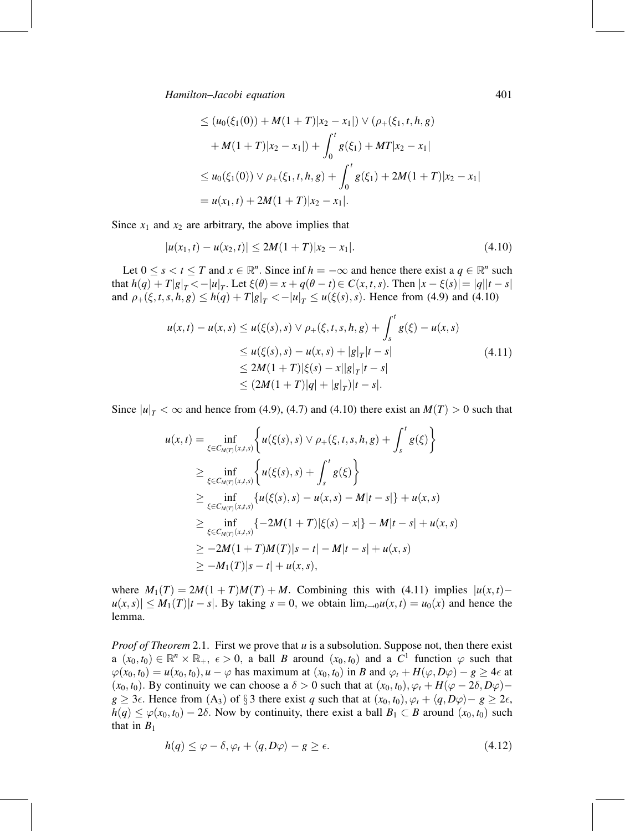$$
\leq (u_0(\xi_1(0)) + M(1+T)|x_2 - x_1|) \vee (\rho_+(\xi_1, t, h, g)
$$
  
+ M(1+T)|x\_2 - x\_1|) +  $\int_0^t g(\xi_1) + MT|x_2 - x_1|$   

$$
\leq u_0(\xi_1(0)) \vee \rho_+(\xi_1, t, h, g) + \int_0^t g(\xi_1) + 2M(1+T)|x_2 - x_1|
$$
  
=  $u(x_1, t) + 2M(1+T)|x_2 - x_1|$ .

Since  $x_1$  and  $x_2$  are arbitrary, the above implies that

$$
|u(x_1,t) - u(x_2,t)| \le 2M(1+T)|x_2 - x_1|.
$$
\n(4.10)

Let  $0 \le s < t \le T$  and  $x \in \mathbb{R}^n$ . Since inf  $h = -\infty$  and hence there exist a  $q \in \mathbb{R}^n$  such that  $h(q) + T|g|_T < -|u|_T$ . Let  $\xi(\theta) = x + q(\theta - t) \in C(x, t, s)$ . Then  $|x - \xi(s)| = |q||t - s|$ and  $\rho_+(\xi, t, s, h, g) \le h(q) + T|g|_T < -|u|_T \le u(\xi(s), s)$ . Hence from (4.9) and (4.10)

$$
u(x,t) - u(x,s) \le u(\xi(s),s) \lor \rho_+(\xi,t,s,h,g) + \int_s^t g(\xi) - u(x,s)
$$
  
\n
$$
\le u(\xi(s),s) - u(x,s) + |g|_T |t-s|
$$
  
\n
$$
\le 2M(1+T)|\xi(s) - x||g|_T |t-s|
$$
  
\n
$$
\le (2M(1+T)|q| + |g|_T) |t-s|.
$$
\n(4.11)

Since  $|u|_T < \infty$  and hence from (4.9), (4.7) and (4.10) there exist an  $M(T) > 0$  such that

$$
u(x,t) = \inf_{\xi \in C_{M(T)}(x,t,s)} \left\{ u(\xi(s),s) \lor \rho_+(\xi,t,s,h,g) + \int_s^t g(\xi) \right\}
$$
  
\n
$$
\geq \inf_{\xi \in C_{M(T)}(x,t,s)} \left\{ u(\xi(s),s) + \int_s^t g(\xi) \right\}
$$
  
\n
$$
\geq \inf_{\xi \in C_{M(T)}(x,t,s)} \left\{ u(\xi(s),s) - u(x,s) - M|t-s| \right\} + u(x,s)
$$
  
\n
$$
\geq \inf_{\xi \in C_{M(T)}(x,t,s)} \left\{ -2M(1+T)|\xi(s) - x| \right\} - M|t-s| + u(x,s)
$$
  
\n
$$
\geq -2M(1+T)M(T)|s-t| - M|t-s| + u(x,s)
$$
  
\n
$$
\geq -M_1(T)|s-t| + u(x,s),
$$

where  $M_1(T) = 2M(1 + T)M(T) + M$ . Combining this with (4.11) implies  $|u(x, t) |u(x, s)| \leq M_1(T)|t - s|$ . By taking  $s = 0$ , we obtain  $\lim_{t \to 0} u(x, t) = u_0(x)$  and hence the lemma.

*Proof of Theorem* 2.1. First we prove that  $u$  is a subsolution. Suppose not, then there exist  $a(x_0, t_0) \in \mathbb{R}^n \times \mathbb{R}_+$ ,  $\epsilon > 0$ , a ball B around  $(x_0, t_0)$  and a  $C^1$  function  $\varphi$  such that  $\varphi(x_0, t_0) = u(x_0, t_0), u - \varphi$  has maximum at  $(x_0, t_0)$  in B and  $\varphi_t + H(\varphi, D\varphi) - g \ge 4\epsilon$  at  $(x_0, t_0)$ . By continuity we can choose a  $\delta > 0$  such that at  $(x_0, t_0), \varphi_t + H(\varphi - 2\delta, D\varphi)$  $g \ge 3\epsilon$ . Hence from  $(A_3)$  of  $\S 3$  there exist q such that at  $(x_0, t_0), \varphi_t + \langle q, D\varphi \rangle - g \ge 2\epsilon$ ,  $h(q) \leq \varphi(x_0, t_0) - 2\delta$ . Now by continuity, there exist a ball  $B_1 \subset B$  around  $(x_0, t_0)$  such that in  $B_1$ 

$$
h(q) \le \varphi - \delta, \varphi_t + \langle q, D\varphi \rangle - g \ge \epsilon. \tag{4.12}
$$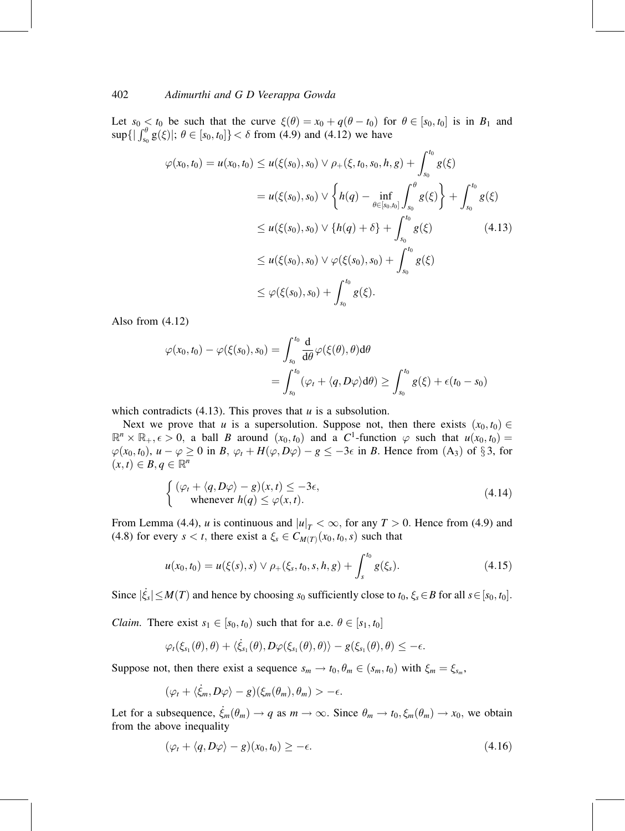Let  $s_0 \le t_0$  be such that the curve  $\xi(\theta) = x_0 + q(\theta - t_0)$  for  $\theta \in [s_0, t_0]$  is in  $B_1$  and  $\sup\{\left|\int_{s_0}^{\theta} g(\xi)\right|; \theta \in [s_0, t_0]\} < \delta \text{ from (4.9) and (4.12) we have}$ 

$$
\varphi(x_0, t_0) = u(x_0, t_0) \le u(\xi(s_0), s_0) \lor \rho_+(\xi, t_0, s_0, h, g) + \int_{s_0}^{t_0} g(\xi)
$$
  
\n
$$
= u(\xi(s_0), s_0) \lor \left\{ h(q) - \inf_{\theta \in [s_0, t_0]} \int_{s_0}^{\theta} g(\xi) \right\} + \int_{s_0}^{t_0} g(\xi)
$$
  
\n
$$
\le u(\xi(s_0), s_0) \lor \left\{ h(q) + \delta \right\} + \int_{s_0}^{t_0} g(\xi) \tag{4.13}
$$
  
\n
$$
\le u(\xi(s_0), s_0) \lor \varphi(\xi(s_0), s_0) + \int_{s_0}^{t_0} g(\xi)
$$
  
\n
$$
\le \varphi(\xi(s_0), s_0) + \int_{s_0}^{t_0} g(\xi).
$$

Also from (4.12)

$$
\varphi(x_0, t_0) - \varphi(\xi(s_0), s_0) = \int_{s_0}^{t_0} \frac{d}{d\theta} \varphi(\xi(\theta), \theta) d\theta
$$
  
= 
$$
\int_{s_0}^{t_0} (\varphi_t + \langle q, D\varphi \rangle d\theta) \ge \int_{s_0}^{t_0} g(\xi) + \epsilon(t_0 - s_0)
$$

which contradicts (4.13). This proves that  $u$  is a subsolution.

Next we prove that u is a supersolution. Suppose not, then there exists  $(x_0, t_0) \in$  $\mathbb{R}^n \times \mathbb{R}_+$ ,  $\epsilon > 0$ , a ball B around  $(x_0, t_0)$  and a C<sup>1</sup>-function  $\varphi$  such that  $u(x_0, t_0) =$  $\varphi(x_0, t_0), u - \varphi \ge 0$  in B,  $\varphi_t + H(\varphi, D\varphi) - g \le -3\epsilon$  in B. Hence from  $(A_3)$  of  $\S 3$ , for  $(x, t) \in B, q \in \mathbb{R}^n$ 

$$
\begin{cases} (\varphi_t + \langle q, D\varphi \rangle - g)(x, t) \le -3\epsilon, \\ \text{whenever } h(q) \le \varphi(x, t). \end{cases} (4.14)
$$

From Lemma (4.4), *u* is continuous and  $|u|_T < \infty$ , for any  $T > 0$ . Hence from (4.9) and (4.8) for every  $s < t$ , there exist a  $\xi_s \in C_{M(T)}(x_0, t_0, s)$  such that

$$
u(x_0, t_0) = u(\xi(s), s) \vee \rho_+(\xi_s, t_0, s, h, g) + \int_s^{t_0} g(\xi_s). \tag{4.15}
$$

Since  $|\dot{\xi}_s| \leq M(T)$  and hence by choosing  $s_0$  sufficiently close to  $t_0, \xi_s \in B$  for all  $s \in [s_0, t_0]$ .

*Claim.* There exist  $s_1 \in [s_0, t_0)$  such that for a.e.  $\theta \in [s_1, t_0]$ 

$$
\varphi_t(\xi_{s_1}(\theta),\theta) + \langle \dot{\xi}_{s_1}(\theta), D\varphi(\xi_{s_1}(\theta),\theta) \rangle - g(\xi_{s_1}(\theta),\theta) \leq -\epsilon.
$$

Suppose not, then there exist a sequence  $s_m \to t_0$ ,  $\theta_m \in (s_m, t_0)$  with  $\xi_m = \xi_{s_m}$ ,

$$
(\varphi_t + \langle \dot{\xi}_m, D\varphi \rangle - g)(\xi_m(\theta_m), \theta_m) > -\epsilon.
$$

Let for a subsequence,  $\dot{\xi}_m(\theta_m) \to q$  as  $m \to \infty$ . Since  $\theta_m \to t_0$ ,  $\xi_m(\theta_m) \to x_0$ , we obtain from the above inequality

$$
(\varphi_t + \langle q, D\varphi \rangle - g)(x_0, t_0) \ge -\epsilon. \tag{4.16}
$$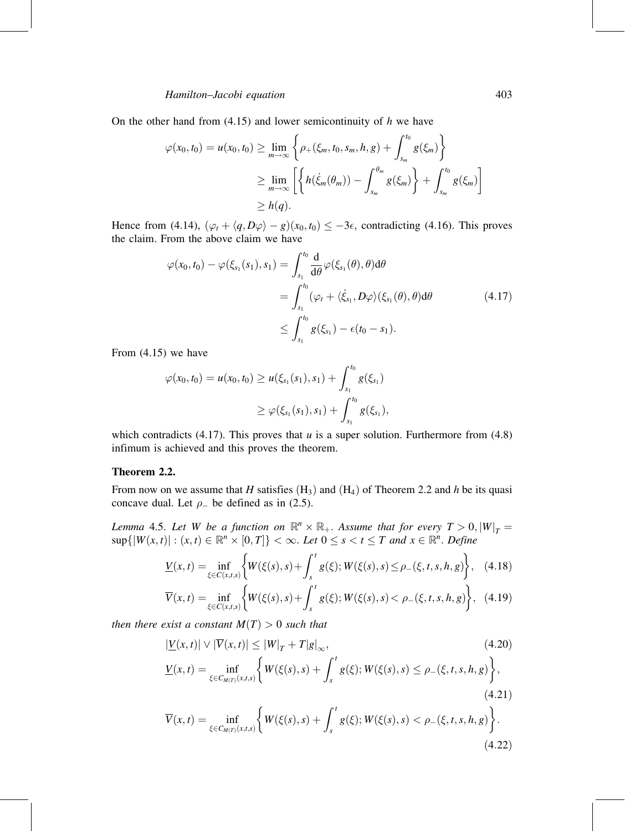On the other hand from  $(4.15)$  and lower semicontinuity of h we have

$$
\varphi(x_0, t_0) = u(x_0, t_0) \ge \lim_{m \to \infty} \left\{ \rho_+(\xi_m, t_0, s_m, h, g) + \int_{s_m}^{t_0} g(\xi_m) \right\}
$$
  

$$
\ge \lim_{m \to \infty} \left[ \left\{ h(\dot{\xi}_m(\theta_m)) - \int_{s_m}^{\theta_m} g(\xi_m) \right\} + \int_{s_m}^{t_0} g(\xi_m) \right]
$$
  

$$
\ge h(q).
$$

Hence from (4.14),  $(\varphi_t + \langle q, D\varphi \rangle - g)(x_0, t_0) \leq -3\epsilon$ , contradicting (4.16). This proves the claim. From the above claim we have

$$
\varphi(x_0, t_0) - \varphi(\xi_{s_1}(s_1), s_1) = \int_{s_1}^{t_0} \frac{d}{d\theta} \varphi(\xi_{s_1}(\theta), \theta) d\theta
$$
  
\n
$$
= \int_{s_1}^{t_0} (\varphi_t + \langle \dot{\xi}_{s_1}, D\varphi \rangle(\xi_{s_1}(\theta), \theta) d\theta \qquad (4.17)
$$
  
\n
$$
\leq \int_{s_1}^{t_0} g(\xi_{s_1}) - \epsilon(t_0 - s_1).
$$

From (4.15) we have

$$
\varphi(x_0, t_0) = u(x_0, t_0) \geq u(\xi_{s_1}(s_1), s_1) + \int_{s_1}^{t_0} g(\xi_{s_1})
$$
  

$$
\geq \varphi(\xi_{s_1}(s_1), s_1) + \int_{s_1}^{t_0} g(\xi_{s_1}),
$$

which contradicts (4.17). This proves that  $u$  is a super solution. Furthermore from (4.8) infimum is achieved and this proves the theorem.

### Theorem 2.2.

From now on we assume that H satisfies  $(H_3)$  and  $(H_4)$  of Theorem 2.2 and h be its quasi concave dual. Let  $\rho$  be defined as in (2.5).

Lemma 4.5. Let W be a function on  $\mathbb{R}^n \times \mathbb{R}_+$ . Assume that for every  $T > 0$ ,  $|W|_T =$  $\sup\{|W(x,t)| : (x,t) \in \mathbb{R}^n \times [0,T]\} < \infty$ . Let  $0 \le s < t \le T$  and  $x \in \mathbb{R}^n$ . Define

$$
\underline{V}(x,t) = \inf_{\xi \in C(x,t,s)} \left\{ W(\xi(s),s) + \int_s^t g(\xi); W(\xi(s),s) \le \rho_-(\xi,t,s,h,g) \right\}, \quad (4.18)
$$

$$
\overline{V}(x,t) = \inf_{\xi \in C(x,t,s)} \left\{ W(\xi(s),s) + \int_s^t g(\xi); W(\xi(s),s) < \rho_-(\xi,t,s,h,g) \right\}, \tag{4.19}
$$

then there exist a constant  $M(T) > 0$  such that

$$
|\underline{V}(x,t)| \vee |\overline{V}(x,t)| \le |W|_{T} + T|g|_{\infty},
$$
\n(4.20)\n
$$
\underline{V}(x,t) = \inf_{\xi \in C_{M(T)}(x,t,s)} \left\{ W(\xi(s),s) + \int_{s}^{t} g(\xi); W(\xi(s),s) \le \rho_{-}(\xi,t,s,h,g) \right\},
$$
\n(4.21)

$$
\overline{V}(x,t) = \inf_{\xi \in C_{M(T)}(x,t,s)} \left\{ W(\xi(s),s) + \int_s^t g(\xi); W(\xi(s),s) < \rho_-(\xi,t,s,h,g) \right\}.
$$
\n(4.22)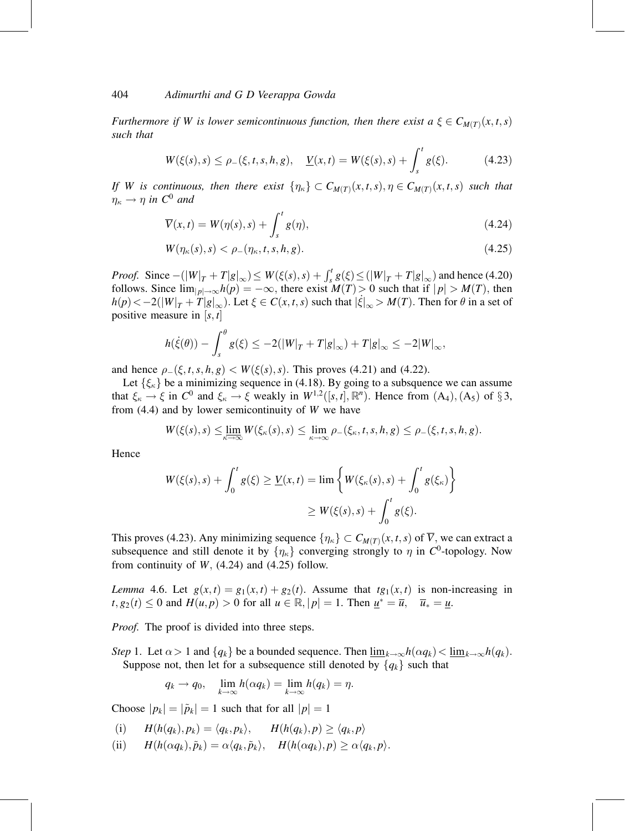Furthermore if W is lower semicontinuous function, then there exist  $a \xi \in C_{M(T)}(x, t, s)$ such that

$$
W(\xi(s), s) \le \rho_{-}(\xi, t, s, h, g), \quad \underline{V}(x, t) = W(\xi(s), s) + \int_{s}^{t} g(\xi). \tag{4.23}
$$

If W is continuous, then there exist  $\{\eta_{\kappa}\}\subset C_{M(T)}(x,t,s), \eta \in C_{M(T)}(x,t,s)$  such that  $\eta_{\kappa} \to \eta$  in  $C^0$  and

$$
\overline{V}(x,t) = W(\eta(s),s) + \int_{s}^{t} g(\eta), \qquad (4.24)
$$

$$
W(\eta_{\kappa}(s),s) < \rho_{-}(\eta_{\kappa},t,s,h,g). \tag{4.25}
$$

*Proof.* Since  $-(|W|_T + T|g|_\infty) \le W(\xi(s), s) + \int_s^t g(\xi) \le (|W|_T + T|g|_\infty)$  and hence (4.20) follows. Since  $\lim_{|p| \to \infty} h(p) = -\infty$ , there exist  $M(T) > 0$  such that if  $|p| > M(T)$ , then  $h(p) < -2(|W|_T + T|g|_\infty)$ . Let  $\xi \in C(x, t, s)$  such that  $|\xi|_\infty > M(T)$ . Then for  $\theta$  in a set of positive measure in  $[s, t]$ 

$$
h(\dot{\xi}(\theta)) - \int_s^{\theta} g(\xi) \le -2(|W|_T + T|g|_{\infty}) + T|g|_{\infty} \le -2|W|_{\infty},
$$

and hence  $\rho_-(\xi, t, s, h, g) < W(\xi(s), s)$ . This proves (4.21) and (4.22).

Let  $\{\xi_{\kappa}\}\$  be a minimizing sequence in (4.18). By going to a subsquence we can assume that  $\xi_{\kappa} \to \xi$  in  $C^0$  and  $\xi_{\kappa} \to \xi$  weakly in  $W^{1,2}([s,t], \mathbb{R}^n)$ . Hence from  $(A_4), (A_5)$  of  $\S 3$ , from  $(4.4)$  and by lower semicontinuity of W we have

$$
W(\xi(s),s) \leq \lim_{\kappa \to \infty} W(\xi_{\kappa}(s),s) \leq \lim_{\kappa \to \infty} \rho_{-}(\xi_{\kappa},t,s,h,g) \leq \rho_{-}(\xi,t,s,h,g).
$$

Hence

$$
W(\xi(s),s) + \int_0^t g(\xi) \ge \underline{V}(x,t) = \lim \left\{ W(\xi_{\kappa}(s),s) + \int_0^t g(\xi_{\kappa}) \right\}
$$
  

$$
\ge W(\xi(s),s) + \int_0^t g(\xi).
$$

This proves (4.23). Any minimizing sequence  $\{\eta_{\kappa}\}\subset C_{M(T)}(x, t, s)$  of  $\overline{V}$ , we can extract a subsequence and still denote it by  $\{\eta_{\kappa}\}\$  converging strongly to  $\eta$  in C<sup>0</sup>-topology. Now from continuity of  $W$ , (4.24) and (4.25) follow.

Lemma 4.6. Let  $g(x, t) = g_1(x, t) + g_2(t)$ . Assume that  $tg_1(x, t)$  is non-increasing in  $t, g_2(t) \leq 0$  and  $H(u, p) > 0$  for all  $u \in \mathbb{R}, |p| = 1$ . Then  $\underline{u}^* = \overline{u}, \quad \overline{u}_* = \underline{u}$ .

*Proof.* The proof is divided into three steps.

Step 1. Let  $\alpha > 1$  and  $\{q_k\}$  be a bounded sequence. Then  $\lim_{k \to \infty} h(\alpha q_k) < \lim_{k \to \infty} h(q_k)$ . Suppose not, then let for a subsequence still denoted by  $\{q_k\}$  such that

$$
q_k \to q_0, \quad \lim_{k \to \infty} h(\alpha q_k) = \lim_{k \to \infty} h(q_k) = \eta.
$$

Choose  $|p_k| = |\tilde{p}_k| = 1$  such that for all  $|p| = 1$ 

(i) 
$$
H(h(q_k), p_k) = \langle q_k, p_k \rangle
$$
,  $H(h(q_k), p) \ge \langle q_k, p \rangle$ 

(ii)  $H(h(\alpha q_k), \tilde{p}_k) = \alpha \langle q_k, \tilde{p}_k \rangle, \quad H(h(\alpha q_k), p) \geq \alpha \langle q_k, p \rangle.$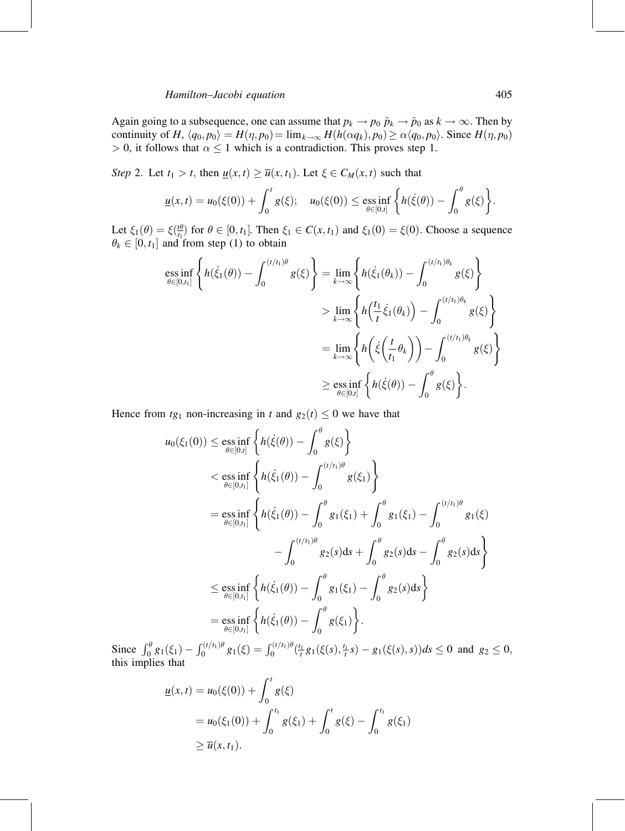Again going to a subsequence, one can assume that  $p_k \to p_0 \tilde{p}_k \to \tilde{p}_0$  as  $k \to \infty$ . Then by continuity of H,  $\langle q_0, p_0 \rangle = H(\eta, p_0) = \lim_{k \to \infty} H(h(\alpha q_k), p_0) \ge \alpha \langle q_0, p_0 \rangle$ . Since  $H(\eta, p_0)$  $> 0$ , it follows that  $\alpha \leq 1$  which is a contradiction. This proves step 1.

Step 2. Let  $t_1 > t$ , then  $\underline{u}(x,t) \ge \overline{u}(x,t_1)$ . Let  $\xi \in C_M(x,t)$  such that

$$
\underline{u}(x,t) = u_0(\xi(0)) + \int_0^t g(\xi); \quad u_0(\xi(0)) \le \underset{\theta \in [0,t]}{\text{ess inf}} \left\{ h(\dot{\xi}(\theta)) - \int_0^{\theta} g(\xi) \right\}.
$$

Let  $\xi_1(\theta) = \xi(\frac{t\theta}{t_1})$  for  $\theta \in [0, t_1]$ . Then  $\xi_1 \in C(x, t_1)$  and  $\xi_1(0) = \xi(0)$ . Choose a sequence  $\theta_k \in [0, t_1]$  and from step (1) to obtain

$$
\begin{split} \underset{\theta \in [0,t_{1}]}{\mathrm{ess}\inf} \left\{ h(\dot{\xi}_{1}(\theta)) - \int_{0}^{(t/t_{1})\theta} g(\xi) \right\} &= \underset{k \to \infty}{\mathrm{lim}} \left\{ h(\dot{\xi}_{1}(\theta_{k})) - \int_{0}^{(t/t_{1})\theta_{k}} g(\xi) \right\} \\ &> \underset{k \to \infty}{\mathrm{lim}} \left\{ h\left(\frac{t_{1}}{t}\dot{\xi}_{1}(\theta_{k})\right) - \int_{0}^{(t/t_{1})\theta_{k}} g(\xi) \right\} \\ &= \underset{k \to \infty}{\mathrm{lim}} \left\{ h\left(\dot{\xi}\left(\frac{t}{t_{1}}\theta_{k}\right)\right) - \int_{0}^{(t/t_{1})\theta_{k}} g(\xi) \right\} \\ &\geq \underset{\theta \in [0,t]}{\mathrm{ess}\inf} \left\{ h(\dot{\xi}(\theta)) - \int_{0}^{\theta} g(\xi) \right\}. \end{split}
$$

Hence from  $tg_1$  non-increasing in t and  $g_2(t) \leq 0$  we have that

$$
u_0(\xi_1(0)) \le \underset{\theta \in [0,t]}{\text{ess inf}} \left\{ h(\dot{\xi}(\theta)) - \int_0^{\theta} g(\xi) \right\}
$$
  

$$
< \underset{\theta \in [0,t_1]}{\text{ess inf}} \left\{ h(\dot{\xi}_1(\theta)) - \int_0^{(t/t_1)\theta} g(\xi_1) \right\}
$$
  

$$
= \underset{\theta \in [0,t_1]}{\text{ess inf}} \left\{ h(\dot{\xi}_1(\theta)) - \int_0^{\theta} g_1(\xi_1) + \int_0^{\theta} g_1(\xi_1) - \int_0^{(t/t_1)\theta} g_1(\xi)
$$
  

$$
- \int_0^{(t/t_1)\theta} g_2(s)ds + \int_0^{\theta} g_2(s)ds - \int_0^{\theta} g_2(s)ds \right\}
$$
  

$$
\le \underset{\theta \in [0,t_1]}{\text{ess inf}} \left\{ h(\dot{\xi}_1(\theta)) - \int_0^{\theta} g_1(\xi_1) - \int_0^{\theta} g_2(s)ds \right\}
$$
  

$$
= \underset{\theta \in [0,t_1]}{\text{ess inf}} \left\{ h(\dot{\xi}_1(\theta)) - \int_0^{\theta} g(\xi_1) \right\}.
$$

Since  $\int_0^{\theta} g_1(\xi_1) - \int_0^{(t/t_1)\theta} g_1(\xi) = \int_0^{(t/t_1)\theta} \left(\frac{t_1}{t} g_1(\xi(s), \frac{t_1}{t} s) - g_1(\xi(s), s)\right) ds \le 0$  and  $g_2 \le 0$ , this implies that

$$
\underline{u}(x,t) = u_0(\xi(0)) + \int_0^t g(\xi)
$$
  
=  $u_0(\xi_1(0)) + \int_0^{t_1} g(\xi_1) + \int_0^t g(\xi) - \int_0^{t_1} g(\xi_1)$   
 $\ge \overline{u}(x,t_1).$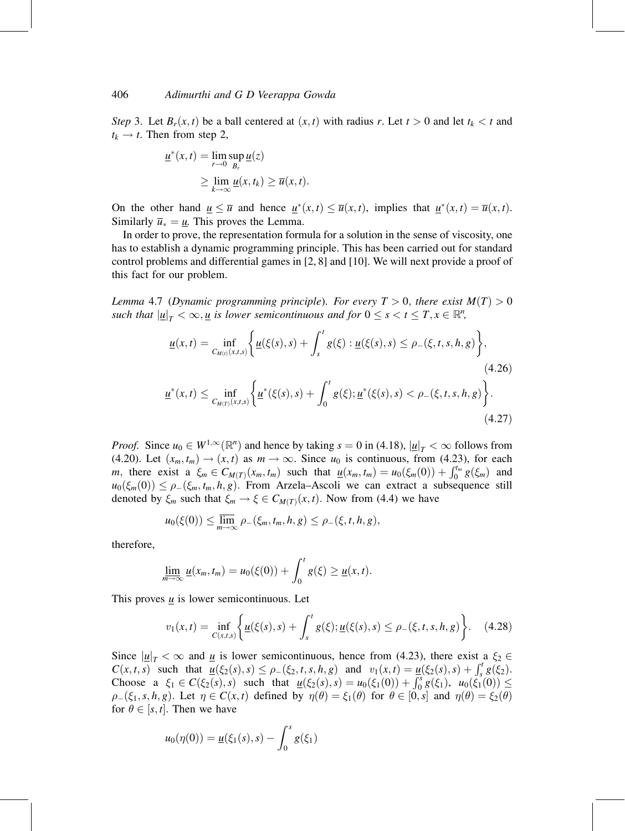Step 3. Let  $B_r(x, t)$  be a ball centered at  $(x, t)$  with radius r. Let  $t > 0$  and let  $t_k < t$  and  $t_k \rightarrow t$ . Then from step 2,

$$
\underline{u}^*(x,t) = \lim_{r \to 0} \sup_{B_r} \underline{u}(z)
$$
  
\n
$$
\geq \lim_{k \to \infty} \underline{u}(x,t_k) \geq \overline{u}(x,t).
$$

On the other hand  $\underline{u} \leq \overline{u}$  and hence  $\underline{u}^*(x,t) \leq \overline{u}(x,t)$ , implies that  $\underline{u}^*(x,t) = \overline{u}(x,t)$ . Similarly  $\overline{u}_* = \underline{u}$ . This proves the Lemma.

In order to prove, the representation formula for a solution in the sense of viscosity, one has to establish a dynamic programming principle. This has been carried out for standard control problems and differential games in [2, 8] and [10]. We will next provide a proof of this fact for our problem.

Lemma 4.7 (Dynamic programming principle). For every  $T > 0$ , there exist  $M(T) > 0$ such that  $|\underline{u}|_T < \infty, \underline{u}$  is lower semicontinuous and for  $0 \leq s < t \leq T, x \in \mathbb{R}^n$ ,

$$
\underline{u}(x,t) = \inf_{C_{M(t)}(x,t,s)} \left\{ \underline{u}(\xi(s),s) + \int_s^t g(\xi) : \underline{u}(\xi(s),s) \le \rho_-(\xi,t,s,h,g) \right\},\tag{4.26}
$$
\n
$$
\underline{u}^*(x,t) \le \inf_{C_{M(T)}(x,t,s)} \left\{ \underline{u}^*(\xi(s),s) + \int_0^t g(\xi) : \underline{u}^*(\xi(s),s) < \rho_-(\xi,t,s,h,g) \right\}.\tag{4.27}
$$

*Proof.* Since  $u_0 \in W^{1,\infty}(\mathbb{R}^n)$  and hence by taking  $s = 0$  in (4.18),  $|\underline{u}|_T < \infty$  follows from (4.20). Let  $(x_m, t_m) \rightarrow (x, t)$  as  $m \rightarrow \infty$ . Since  $u_0$  is continuous, from (4.23), for each m, there exist a  $\xi_m \in C_{M(T)}(x_m, t_m)$  such that  $\underline{u}(x_m, t_m) = u_0(\xi_m(0)) + \int_0^{t_m} g(\xi_m)$  and  $u_0(\xi_m(0)) \leq \rho_-(\xi_m, t_m, h, g)$ . From Arzela–Ascoli we can extract a subsequence still denoted by  $\xi_m$  such that  $\xi_m \to \xi \in C_{M(T)}(x, t)$ . Now from (4.4) we have

$$
u_0(\xi(0)) \leq \overline{\lim}_{m \to \infty} \rho_-(\xi_m, t_m, h, g) \leq \rho_-(\xi, t, h, g),
$$

therefore,

$$
\underline{\lim}_{m\to\infty}\underline{u}(x_m,t_m)=u_0(\xi(0))+\int_0^t g(\xi)\geq \underline{u}(x,t).
$$

This proves  $\underline{u}$  is lower semicontinuous. Let

$$
v_1(x,t) = \inf_{C(x,t,s)} \left\{ \underline{u}(\xi(s),s) + \int_s^t g(\xi); \underline{u}(\xi(s),s) \le \rho_-(\xi,t,s,h,g) \right\}.
$$
 (4.28)

Since  $|\underline{u}|_T < \infty$  and  $\underline{u}$  is lower semicontinuous, hence from (4.23), there exist a  $\xi_2 \in$  $C(x, t, s)$  such that  $\overline{\underline{u}}(\xi_2(s), s) \leq \rho_-(\xi_2, t, s, h, g)$  and  $v_1(x, t) = \underline{\underline{u}}(\xi_2(s), s) + \int_s^t g(\xi_2)$ . Choose a  $\xi_1 \in C(\xi_2(s), s)$  such that  $u(\xi_2(s), s) = u_0(\xi_1(0)) + \int_0^s g(\xi_1), u_0(\xi_1(0)) \le$  $\rho_-(\xi_1, s, h, g)$ . Let  $\eta \in C(x, t)$  defined by  $\eta(\theta) = \xi_1(\theta)$  for  $\theta \in [0, s]$  and  $\eta(\theta) = \xi_2(\theta)$ for  $\theta \in [s, t]$ . Then we have

$$
u_0(\eta(0)) = \underline{u}(\xi_1(s), s) - \int_0^s g(\xi_1)
$$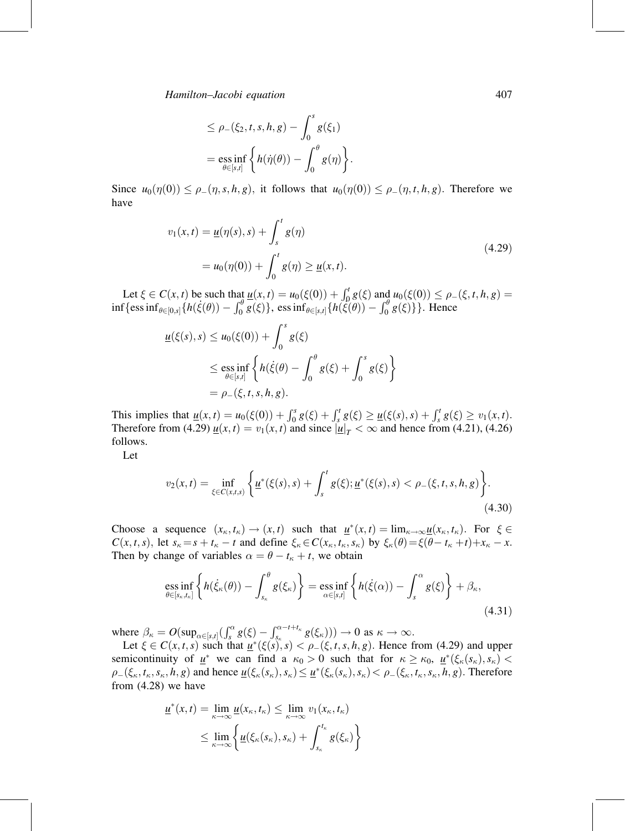$$
\leq \rho_{-}(\xi_2, t, s, h, g) - \int_0^s g(\xi_1)
$$
  
=  $\operatorname*{ess\,inf}_{\theta \in [s,t]} \left\{ h(\dot{\eta}(\theta)) - \int_0^{\theta} g(\eta) \right\}.$ 

Since  $u_0(\eta(0)) \leq \rho_-(\eta, s, h, g)$ , it follows that  $u_0(\eta(0)) \leq \rho_-(\eta, t, h, g)$ . Therefore we have

$$
v_1(x,t) = \underline{u}(\eta(s),s) + \int_s^t g(\eta)
$$
  
=  $u_0(\eta(0)) + \int_0^t g(\eta) \ge \underline{u}(x,t).$  (4.29)

Let  $\xi \in C(x,t)$  be such that  $\underline{u}(x,t) = u_0(\xi(0)) + \int_0^t g(\xi)$  and  $u_0(\xi(0)) \le \rho_-(\xi,t,h,g) =$  $\inf \{\text{ess}\inf_{\theta\in [0,s]} \{h(\xi(\theta)) - \int_0^{\theta} \overline{g}(\xi)\}\right\}$ , ess $\inf_{\theta\in [s,t]} \{h(\xi(\theta)) - \int_0^{\theta} g(\xi)\}\}\right)$ . Hence

$$
\underline{u}(\xi(s),s) \le u_0(\xi(0)) + \int_0^s g(\xi)
$$
  
\n
$$
\le \underset{\theta \in [s,t]}{\mathrm{ess\ inf}} \left\{ h(\dot{\xi}(\theta) - \int_0^{\theta} g(\xi) + \int_0^s g(\xi) \right\}
$$
  
\n
$$
= \rho_-(\xi,t,s,h,g).
$$

This implies that  $\underline{u}(x,t) = u_0(\xi(0)) + \int_0^s g(\xi) + \int_s^t g(\xi) \ge \underline{u}(\xi(s),s) + \int_s^t g(\xi) \ge v_1(x,t)$ . Therefore from (4.29)  $\underline{u}(x,t) = v_1(x,t)$  and since  $|\underline{u}|_T < \infty$  and hence from (4.21), (4.26) follows.

Let

$$
v_2(x,t) = \inf_{\xi \in C(x,t,s)} \left\{ \underline{u}^*(\xi(s),s) + \int_s^t g(\xi) ; \underline{u}^*(\xi(s),s) < \rho_-(\xi,t,s,h,g) \right\}.
$$
\n(4.30)

Choose a sequence  $(x_{\kappa}, t_{\kappa}) \to (x, t)$  such that  $\underline{u}^*(x, t) = \lim_{\kappa \to \infty} \underline{u}(x_{\kappa}, t_{\kappa})$ . For  $\xi \in$  $C(x, t, s)$ , let  $s_{\kappa} = s + t_{\kappa} - t$  and define  $\xi_{\kappa} \in C(x_{\kappa}, t_{\kappa}, s_{\kappa})$  by  $\xi_{\kappa}(\theta) = \xi(\theta - t_{\kappa} + t) + x_{\kappa} - x$ . Then by change of variables  $\alpha = \theta - t_{\kappa} + t$ , we obtain

$$
\underset{\theta \in [s_{\kappa}, t_{\kappa}]}{\text{ess inf}} \left\{ h(\dot{\xi}_{\kappa}(\theta)) - \int_{s_{\kappa}}^{\theta} g(\xi_{\kappa}) \right\} = \underset{\alpha \in [s,t]}{\text{ess inf}} \left\{ h(\dot{\xi}(\alpha)) - \int_{s}^{\alpha} g(\xi) \right\} + \beta_{\kappa},\tag{4.31}
$$

where  $\beta_{\kappa} = O(\sup_{\alpha \in [s,t]} (\int_{s}^{\alpha} g(\xi) - \int_{s_{\kappa}}^{\alpha-t+t_{\kappa}} g(\xi_{\kappa}))) \to 0$  as  $\kappa \to \infty$ .

Let  $\xi \in C(x, t, s)$  such that  $\underline{u}^*(\xi(s), s) < \rho_-(\xi, t, s, h, g)$ . Hence from (4.29) and upper semicontinuity of  $\underline{u}^*$  we can find a  $\kappa_0 > 0$  such that for  $\kappa \geq \kappa_0$ ,  $\underline{u}^*(\xi_{\kappa}(s_{\kappa}), s_{\kappa}) <$  $\rho_{-}(\xi_{\kappa}, t_{\kappa}, s_{\kappa}, h, g)$  and hence  $\underline{u}(\xi_{\kappa}(s_{\kappa}), s_{\kappa}) \leq \underline{u}^{*}(\xi_{\kappa}(s_{\kappa}), s_{\kappa}) < \rho_{-}(\xi_{\kappa}, t_{\kappa}, s_{\kappa}, h, g)$ . Therefore from (4.28) we have

$$
\underline{u}^*(x,t) = \lim_{\kappa \to \infty} \underline{u}(x_\kappa, t_\kappa) \le \lim_{\kappa \to \infty} v_1(x_\kappa, t_\kappa)
$$
  

$$
\le \lim_{\kappa \to \infty} \left\{ \underline{u}(\xi_\kappa(s_\kappa), s_\kappa) + \int_{s_\kappa}^{t_\kappa} g(\xi_\kappa) \right\}
$$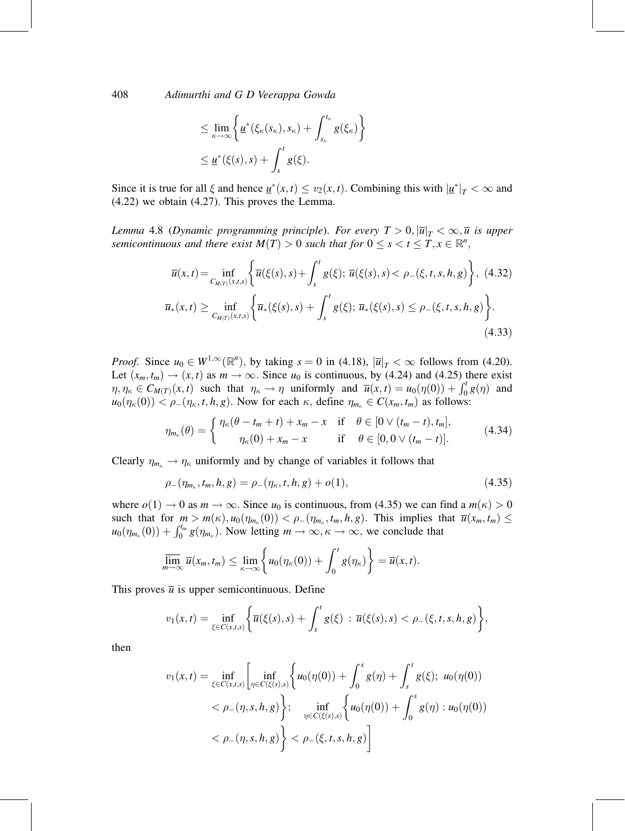$$
\leq \lim_{\kappa \to \infty} \left\{ \underline{u}^*(\xi_{\kappa}(s_{\kappa}), s_{\kappa}) + \int_{s_{\kappa}}^{t_{\kappa}} g(\xi_{\kappa}) \right\}
$$
  

$$
\leq \underline{u}^*(\xi(s), s) + \int_s^t g(\xi).
$$

Since it is true for all  $\xi$  and hence  $\underline{u}^*(x,t) \le v_2(x,t)$ . Combining this with  $|\underline{u}^*|_T < \infty$  and (4.22) we obtain (4.27). This proves the Lemma.

Lemma 4.8 (Dynamic programming principle). For every  $T > 0, |\overline{u}|_T < \infty, \overline{u}$  is upper semicontinuous and there exist  $M(T) > 0$  such that for  $0 \leq s < t \leq T, x \in \mathbb{R}^n$ ,

$$
\overline{u}(x,t) = \inf_{C_{M(T)}(x,t,s)} \left\{ \overline{u}(\xi(s),s) + \int_s^t g(\xi); \, \overline{u}(\xi(s),s) < \rho_-(\xi,t,s,h,g) \right\}, \tag{4.32}
$$
\n
$$
\overline{u}_*(x,t) \ge \inf_{C_{M(T)}(x,t,s)} \left\{ \overline{u}_*(\xi(s),s) + \int_s^t g(\xi); \, \overline{u}_*(\xi(s),s) \le \rho_-(\xi,t,s,h,g) \right\}. \tag{4.33}
$$

*Proof.* Since  $u_0 \in W^{1,\infty}(\mathbb{R}^n)$ , by taking  $s = 0$  in (4.18),  $|\overline{u}|_T < \infty$  follows from (4.20). Let  $(x_m, t_m) \rightarrow (x, t)$  as  $m \rightarrow \infty$ . Since  $u_0$  is continuous, by (4.24) and (4.25) there exist  $\eta, \eta_{\kappa} \in C_{M(T)}(x, t)$  such that  $\eta_{\kappa} \to \eta$  uniformly and  $\overline{u}(x, t) = u_0(\eta(0)) + \int_0^t g(\eta)$  and  $u_0(\eta_{\kappa}(0)) < \rho_{-}(\eta_{\kappa}, t, h, g)$ . Now for each  $\kappa$ , define  $\eta_{m_{\kappa}} \in C(x_m, t_m)$  as follows:

$$
\eta_{m_{\kappa}}(\theta) = \begin{cases} \eta_{\kappa}(\theta - t_m + t) + x_m - x & \text{if } \theta \in [0 \vee (t_m - t), t_m], \\ \eta_{\kappa}(0) + x_m - x & \text{if } \theta \in [0, 0 \vee (t_m - t)]. \end{cases}
$$
(4.34)

Clearly  $\eta_{m_{\kappa}} \to \eta_{\kappa}$  uniformly and by change of variables it follows that

$$
\rho_{-}(\eta_{m_{\kappa}}, t_{m}, h, g) = \rho_{-}(\eta_{\kappa}, t, h, g) + o(1), \qquad (4.35)
$$

where  $o(1) \rightarrow 0$  as  $m \rightarrow \infty$ . Since  $u_0$  is continuous, from (4.35) we can find a  $m(\kappa) > 0$ such that for  $m > m(\kappa)$ ,  $u_0(\eta_{m_\kappa}(0)) < \rho_-(\eta_{m_\kappa}, t_m, h, g)$ . This implies that  $\overline{u}(x_m, t_m) \leq$  $u_0(\eta_{m_k}(0)) + \int_0^{t_m} g(\eta_{m_k})$ . Now letting  $m \to \infty, \kappa \to \infty$ , we conclude that

$$
\overline{\lim}_{m\to\infty}\overline{u}(x_m,t_m)\leq \lim_{\kappa\to\infty}\left\{u_0(\eta_{\kappa}(0))+\int_0^t g(\eta_{\kappa})\right\}=\overline{u}(x,t).
$$

This proves  $\overline{u}$  is upper semicontinuous. Define

$$
v_1(x,t) = \inf_{\xi \in C(x,t,s)} \left\{ \overline{u}(\xi(s),s) + \int_s^t g(\xi) : \overline{u}(\xi(s),s) < \rho_-(\xi,t,s,h,g) \right\},\,
$$

then

$$
v_1(x,t) = \inf_{\xi \in C(x,t,s)} \left[ \inf_{\eta \in C(\xi(s),s)} \left\{ u_0(\eta(0)) + \int_0^s g(\eta) + \int_s^t g(\xi); \ u_0(\eta(0)) \right\} \right]
$$
  
<  $\rho_-(\eta,s,h,g) \left\}; \quad \inf_{\eta \in C(\xi(s),s)} \left\{ u_0(\eta(0)) + \int_0^s g(\eta) : u_0(\eta(0)) \right\}$   
<  $\rho_-(\eta,s,h,g) \right\} < \rho_-(\xi,t,s,h,g) \right]$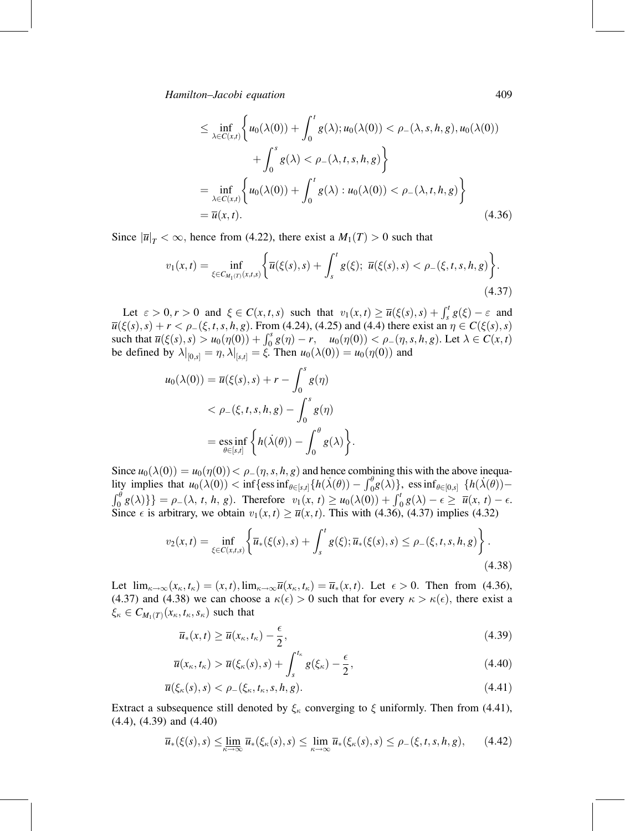$$
\leq \inf_{\lambda \in C(x,t)} \left\{ u_0(\lambda(0)) + \int_0^t g(\lambda); u_0(\lambda(0)) < \rho_-(\lambda, s, h, g), u_0(\lambda(0)) + \int_0^s g(\lambda) < \rho_-(\lambda, t, s, h, g) \right\}
$$
  
= 
$$
\inf_{\lambda \in C(x,t)} \left\{ u_0(\lambda(0)) + \int_0^t g(\lambda) : u_0(\lambda(0)) < \rho_-(\lambda, t, h, g) \right\}
$$
  
= 
$$
\overline{u}(x,t). \tag{4.36}
$$

Since  $|\overline{u}|_T < \infty$ , hence from (4.22), there exist a  $M_1(T) > 0$  such that

$$
v_1(x,t) = \inf_{\xi \in C_{M_1(T)}(x,t,s)} \left\{ \overline{u}(\xi(s),s) + \int_s^t g(\xi); \ \overline{u}(\xi(s),s) < \rho_-(\xi,t,s,h,g) \right\}.
$$
\n(4.37)

Let  $\varepsilon > 0, r > 0$  and  $\xi \in C(x, t, s)$  such that  $v_1(x, t) \ge \overline{u}(\xi(s), s) + \int_s^t g(\xi) - \varepsilon$  and  $\overline{u}(\xi(s), s) + r < \rho_{-}(\xi, t, s, h, g)$ . From (4.24), (4.25) and (4.4) there exist an  $\eta \in C(\xi(s), s)$ such that  $\overline{u}(\xi(s), s) > u_0(\eta(0)) + \int_0^s g(\eta) - r$ ,  $u_0(\eta(0)) < \rho_-(\eta, s, h, g)$ . Let  $\lambda \in C(x, t)$ be defined by  $\lambda|_{[0,s]} = \eta, \lambda|_{[s,t]} = \xi$ . Then  $u_0(\lambda(0)) = u_0(\eta(0))$  and

$$
u_0(\lambda(0)) = \overline{u}(\xi(s), s) + r - \int_0^s g(\eta)
$$
  
< 
$$
< \rho_{-}(\xi, t, s, h, g) - \int_0^s g(\eta)
$$
  

$$
= \underset{\theta \in [s, t]}{\mathrm{ess\ inf}} \left\{ h(\dot{\lambda}(\theta)) - \int_0^{\theta} g(\lambda) \right\}.
$$

Since  $u_0(\lambda(0)) = u_0(\eta(0)) < \rho(\eta, s, h, g)$  and hence combining this with the above inequality implies that  $u_0(\lambda(0)) < \inf \{ \text{ess inf}_{\theta \in [s,t]} \{ h(\lambda(\theta)) - \int_0^{\theta} g(\lambda) \}$ , essinf $\theta \in [0,s]$   $\{ h(\lambda(\theta)) \{\int_0^{\theta} g(\lambda)\}\right} = \rho_-(\lambda, t, h, g)$ . Therefore  $v_1(x, t) \ge u_0(\lambda(0)) + \int_0^t g(\lambda) - \epsilon \ge \overline{u}(x, t) - \epsilon.$ Since  $\epsilon$  is arbitrary, we obtain  $v_1(x, t) \ge \overline{u}(x, t)$ . This with (4.36), (4.37) implies (4.32)

$$
v_2(x,t) = \inf_{\xi \in C(x,t,s)} \left\{ \overline{u}_*(\xi(s),s) + \int_s^t g(\xi) ; \overline{u}_*(\xi(s),s) \le \rho_-(\xi,t,s,h,g) \right\}.
$$
\n(4.38)

Let  $\lim_{\kappa \to \infty} (x_{\kappa}, t_{\kappa}) = (x, t)$ ,  $\lim_{\kappa \to \infty} \overline{u}(x_{\kappa}, t_{\kappa}) = \overline{u}_*(x, t)$ . Let  $\epsilon > 0$ . Then from (4.36), (4.37) and (4.38) we can choose a  $\kappa(\epsilon) > 0$  such that for every  $\kappa > \kappa(\epsilon)$ , there exist a  $\xi_{\kappa} \in C_{M_1(T)}(x_{\kappa}, t_{\kappa}, s_{\kappa})$  such that

$$
\overline{u}_*(x,t) \ge \overline{u}(x_{\kappa},t_{\kappa}) - \frac{\epsilon}{2},\tag{4.39}
$$

$$
\overline{u}(x_{\kappa},t_{\kappa}) > \overline{u}(\xi_{\kappa}(s),s) + \int_{s}^{t_{\kappa}} g(\xi_{\kappa}) - \frac{\epsilon}{2}, \qquad (4.40)
$$

$$
\overline{u}(\xi_{\kappa}(s),s) < \rho_{-}(\xi_{\kappa},t_{\kappa},s,h,g). \tag{4.41}
$$

Extract a subsequence still denoted by  $\xi_{\kappa}$  converging to  $\xi$  uniformly. Then from (4.41), (4.4), (4.39) and (4.40)

$$
\overline{u}_*(\xi(s),s) \leq \lim_{\kappa \to \infty} \overline{u}_*(\xi_\kappa(s),s) \leq \lim_{\kappa \to \infty} \overline{u}_*(\xi_\kappa(s),s) \leq \rho_-(\xi,t,s,h,g), \qquad (4.42)
$$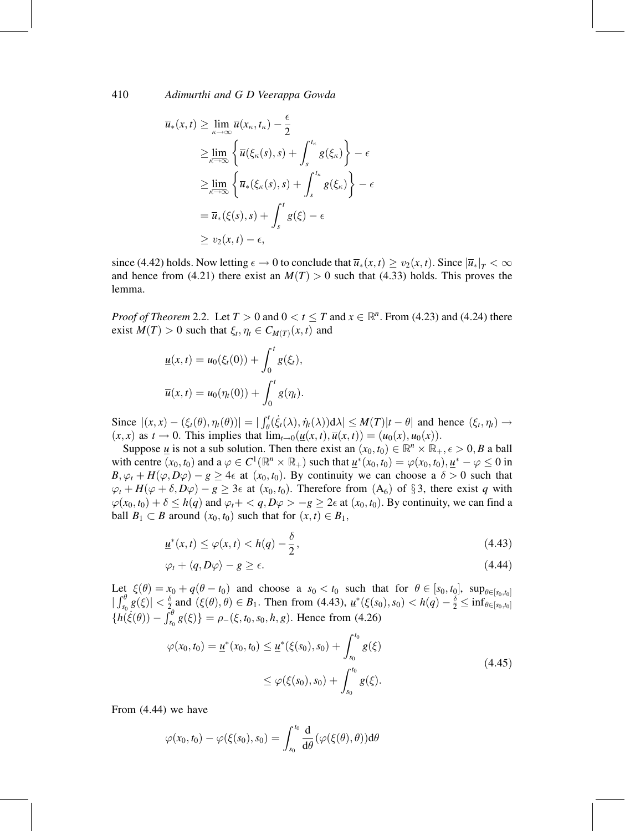$$
\overline{u}_{*}(x,t) \geq \lim_{\kappa \to \infty} \overline{u}(x_{\kappa}, t_{\kappa}) - \frac{\epsilon}{2}
$$
\n
$$
\geq \lim_{\kappa \to \infty} \left\{ \overline{u}(\xi_{\kappa}(s), s) + \int_{s}^{t_{\kappa}} g(\xi_{\kappa}) \right\} - \epsilon
$$
\n
$$
\geq \lim_{\kappa \to \infty} \left\{ \overline{u}_{*}(\xi_{\kappa}(s), s) + \int_{s}^{t_{\kappa}} g(\xi_{\kappa}) \right\} - \epsilon
$$
\n
$$
= \overline{u}_{*}(\xi(s), s) + \int_{s}^{t} g(\xi) - \epsilon
$$
\n
$$
\geq v_{2}(x, t) - \epsilon,
$$

since (4.42) holds. Now letting  $\epsilon \to 0$  to conclude that  $\overline{u}_*(x,t) \ge v_2(x,t)$ . Since  $|\overline{u}_*|_T < \infty$ and hence from (4.21) there exist an  $M(T) > 0$  such that (4.33) holds. This proves the lemma.

*Proof of Theorem 2.2.* Let  $T > 0$  and  $0 < t \leq T$  and  $x \in \mathbb{R}^n$ . From (4.23) and (4.24) there exist  $M(T) > 0$  such that  $\xi_t, \eta_t \in C_{M(T)}(x, t)$  and

$$
\underline{u}(x,t) = u_0(\xi_t(0)) + \int_0^t g(\xi_t),
$$
  

$$
\overline{u}(x,t) = u_0(\eta_t(0)) + \int_0^t g(\eta_t).
$$

Since  $|(x,x) - (\xi_t(\theta), \eta_t(\theta))| = | \int_{\theta}^{t} (\xi_t(\lambda), \eta_t(\lambda)) d\lambda | \leq M(T)|t - \theta|$  and hence  $(\xi_t, \eta_t) \to$  $(x, x)$  as  $t \to 0$ . This implies that  $\lim_{t \to 0} (\underline{u}(x, t), \overline{u}(x, t)) = (u_0(x), u_0(x)).$ 

Suppose <u>u</u> is not a sub solution. Then there exist an  $(x_0, t_0) \in \mathbb{R}^n \times \mathbb{R}_+, \epsilon > 0$ , *B* a ball with centre  $(x_0, t_0)$  and a  $\varphi \in C^1(\mathbb{R}^n \times \mathbb{R}_+)$  such that  $\underline{u}^*(x_0, t_0) = \varphi(x_0, t_0), \underline{u}^* - \varphi \leq 0$  in  $B, \varphi_t + H(\varphi, D\varphi) - g \ge 4\epsilon$  at  $(x_0, t_0)$ . By continuity we can choose a  $\delta > 0$  such that  $\varphi_t + H(\varphi + \delta, D\varphi) - g \geq 3\epsilon$  at  $(x_0, t_0)$ . Therefore from  $(A_6)$  of §3, there exist q with  $\varphi(x_0, t_0) + \delta \le h(q)$  and  $\varphi_t + \langle q, D\varphi \rangle - g \ge 2\epsilon$  at  $(x_0, t_0)$ . By continuity, we can find a ball  $B_1 \subset B$  around  $(x_0, t_0)$  such that for  $(x, t) \in B_1$ ,

$$
\underline{u}^*(x,t) \le \varphi(x,t) < h(q) - \frac{\delta}{2},\tag{4.43}
$$

$$
\varphi_t + \langle q, D\varphi \rangle - g \ge \epsilon. \tag{4.44}
$$

Let  $\xi(\theta) = x_0 + q(\theta - t_0)$  and choose a  $s_0 < t_0$  such that for  $\theta \in [s_0, t_0]$ ,  $\sup_{\theta \in [s_0, t_0]}$  $|\int_{s_0}^{\theta} g(\xi)| < \frac{\delta}{2}$  and  $(\xi(\theta), \theta) \in B_1$ . Then from (4.43),  $\underline{u}^*(\xi(s_0), s_0) < h(q) - \frac{\delta}{2} \leq \inf_{\theta \in [s_0, t_0]}$  $\{\tilde{h}(\dot{\xi}(\theta)) - \int_{s_0}^{\theta} g(\xi)\} = \rho_{-}(\xi, t_0, s_0, h, g)$ . Hence from (4.26)

$$
\varphi(x_0, t_0) = \underline{u}^*(x_0, t_0) \leq \underline{u}^*(\xi(s_0), s_0) + \int_{s_0}^{t_0} g(\xi)
$$
  
 
$$
\leq \varphi(\xi(s_0), s_0) + \int_{s_0}^{t_0} g(\xi).
$$
 (4.45)

From (4.44) we have

$$
\varphi(x_0,t_0)-\varphi(\xi(s_0),s_0)=\int_{s_0}^{t_0}\frac{\mathrm{d}}{\mathrm{d}\theta}(\varphi(\xi(\theta),\theta))\mathrm{d}\theta
$$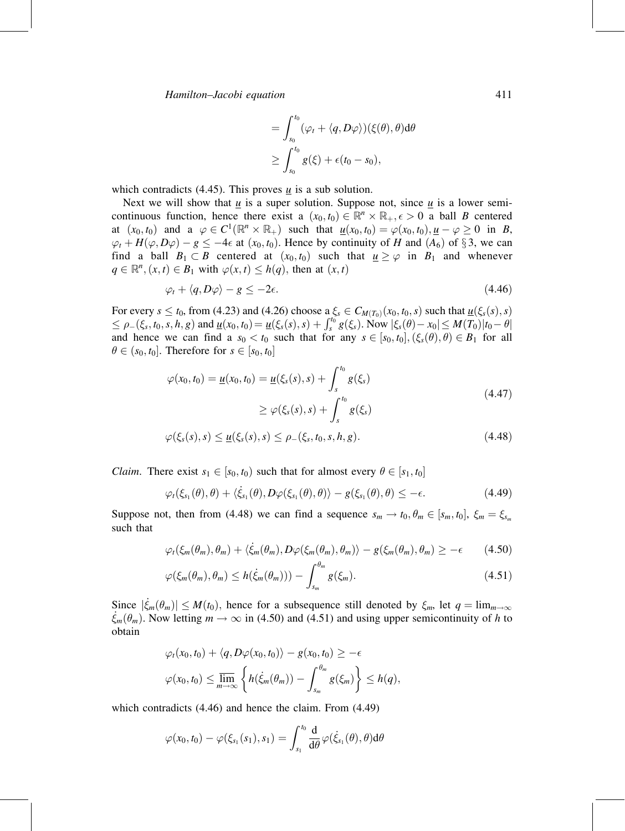$$
= \int_{s_0}^{t_0} (\varphi_t + \langle q, D\varphi \rangle)(\xi(\theta), \theta) d\theta
$$
  

$$
\geq \int_{s_0}^{t_0} g(\xi) + \epsilon(t_0 - s_0),
$$

which contradicts (4.45). This proves  $\underline{u}$  is a sub solution.

Next we will show that  $\underline{u}$  is a super solution. Suppose not, since  $\underline{u}$  is a lower semicontinuous function, hence there exist a  $(x_0, t_0) \in \mathbb{R}^n \times \mathbb{R}_+, \epsilon > 0$  a ball B centered at  $(x_0, t_0)$  and a  $\varphi \in C^1(\mathbb{R}^n \times \mathbb{R}_+)$  such that  $\underline{u}(x_0, t_0) = \varphi(x_0, t_0), \underline{u} - \varphi \ge 0$  in B,  $\varphi_t + H(\varphi, D\varphi) - g \le -4\epsilon$  at  $(x_0, t_0)$ . Hence by continuity of H and  $(A_6)$  of §3, we can find a ball  $B_1 \subset B$  centered at  $(x_0, t_0)$  such that  $\underline{u} \ge \varphi$  in  $B_1$  and whenever  $q \in \mathbb{R}^n$ ,  $(x, t) \in B_1$  with  $\varphi(x, t) \leq h(q)$ , then at  $(x, t)$ 

$$
\varphi_t + \langle q, D\varphi \rangle - g \le -2\epsilon. \tag{4.46}
$$

For every  $s \le t_0$ , from (4.23) and (4.26) choose a  $\xi_s \in C_{M(T_0)}(x_0,t_0,s)$  such that  $\underline{u}(\xi_s(s),s)$  $\leq \rho_-(\xi_s, t_0, s, h, g)$  and  $\underline{u}(x_0, t_0) = \underline{u}(\xi_s(s), s) + \int_s^{t_0} g(\xi_s)$ . Now  $|\xi_s(\theta) - x_0| \leq M(\overline{T_0})|t_0 - \theta|$ and hence we can find a  $s_0 < t_0$  such that for any  $s \in [s_0, t_0], (\xi_s(\theta), \theta) \in B_1$  for all  $\theta \in (s_0, t_0]$ . Therefore for  $s \in [s_0, t_0]$ 

$$
\varphi(x_0, t_0) = \underline{u}(x_0, t_0) = \underline{u}(\xi_s(s), s) + \int_s^{t_0} g(\xi_s)
$$
  
\n
$$
\geq \varphi(\xi_s(s), s) + \int_s^{t_0} g(\xi_s)
$$
  
\n
$$
\varphi(\xi_s(s), s) \leq \underline{u}(\xi_s(s), s) \leq \rho_{-}(\xi_s, t_0, s, h, g).
$$
\n(4.48)

*Claim.* There exist  $s_1 \in [s_0, t_0)$  such that for almost every  $\theta \in [s_1, t_0]$ 

$$
\varphi_t(\xi_{s_1}(\theta),\theta) + \langle \dot{\xi}_{s_1}(\theta), D\varphi(\xi_{s_1}(\theta),\theta) \rangle - g(\xi_{s_1}(\theta),\theta) \le -\epsilon.
$$
 (4.49)

Suppose not, then from (4.48) we can find a sequence  $s_m \to t_0, \theta_m \in [s_m, t_0], \xi_m = \xi_{s_m}$ such that

$$
\varphi_t(\xi_m(\theta_m), \theta_m) + \langle \dot{\xi}_m(\theta_m), D\varphi(\xi_m(\theta_m), \theta_m) \rangle - g(\xi_m(\theta_m), \theta_m) \ge -\epsilon \tag{4.50}
$$

$$
\varphi(\xi_m(\theta_m), \theta_m) \le h(\dot{\xi}_m(\theta_m))) - \int_{s_m}^{\theta_m} g(\xi_m). \tag{4.51}
$$

Since  $|\dot{\xi}_m(\theta_m)| \leq M(t_0)$ , hence for a subsequence still denoted by  $\xi_m$ , let  $q = \lim_{m \to \infty}$  $\xi_m(\theta_m)$ . Now letting  $m \to \infty$  in (4.50) and (4.51) and using upper semicontinuity of h to obtain

$$
\varphi_t(x_0, t_0) + \langle q, D\varphi(x_0, t_0) \rangle - g(x_0, t_0) \ge -\epsilon
$$
  

$$
\varphi(x_0, t_0) \le \lim_{m \to \infty} \left\{ h(\dot{\xi}_m(\theta_m)) - \int_{s_m}^{\theta_m} g(\xi_m) \right\} \le h(q),
$$

which contradicts (4.46) and hence the claim. From (4.49)

$$
\varphi(x_0,t_0)-\varphi(\xi_{s_1}(s_1),s_1)=\int_{s_1}^{t_0}\frac{\mathrm{d}}{\mathrm{d}\theta}\varphi(\dot{\xi}_{s_1}(\theta),\theta)\mathrm{d}\theta
$$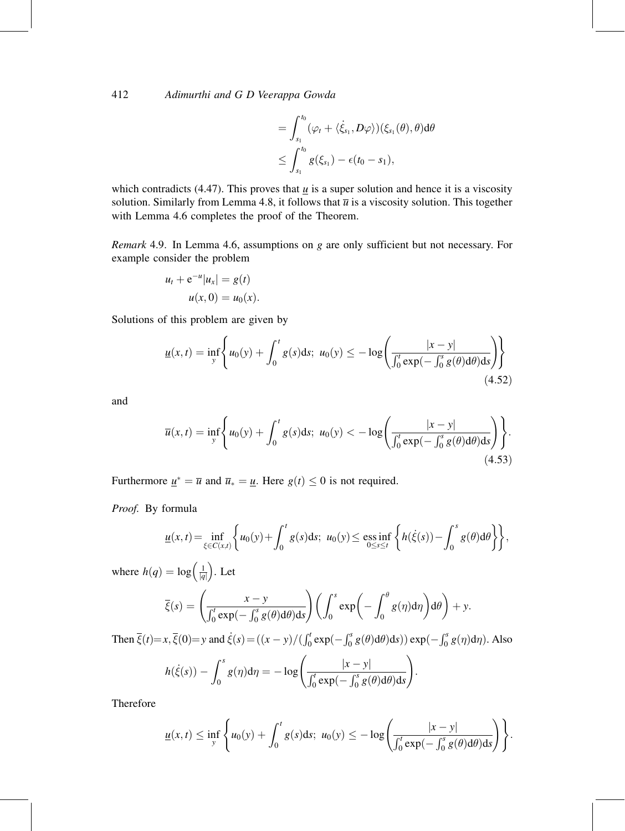$$
=\int_{s_1}^{t_0}(\varphi_t+\langle \dot{\xi}_{s_1},D\varphi\rangle)(\xi_{s_1}(\theta),\theta)d\theta\\ \leq \int_{s_1}^{t_0}g(\xi_{s_1})-\epsilon(t_0-s_1),
$$

which contradicts (4.47). This proves that  $\mu$  is a super solution and hence it is a viscosity solution. Similarly from Lemma 4.8, it follows that  $\overline{u}$  is a viscosity solution. This together with Lemma 4.6 completes the proof of the Theorem.

Remark 4.9. In Lemma 4.6, assumptions on g are only sufficient but not necessary. For example consider the problem

$$
u_t + e^{-u} |u_x| = g(t)
$$
  

$$
u(x, 0) = u_0(x).
$$

Solutions of this problem are given by

$$
\underline{u}(x,t) = \inf_{y} \left\{ u_0(y) + \int_0^t g(s)ds; \ u_0(y) \le -\log \left( \frac{|x-y|}{\int_0^t \exp(-\int_0^s g(\theta) d\theta) ds} \right) \right\}
$$
(4.52)

and

$$
\overline{u}(x,t) = \inf_{y} \left\{ u_0(y) + \int_0^t g(s)ds; \ u_0(y) < -\log \left( \frac{|x-y|}{\int_0^t \exp(-\int_0^s g(\theta) d\theta) ds} \right) \right\}.
$$
\n(4.53)

Furthermore  $\underline{u}^* = \overline{u}$  and  $\overline{u}_* = \underline{u}$ . Here  $g(t) \leq 0$  is not required.

Proof. By formula

$$
\underline{u}(x,t) = \inf_{\xi \in C(x,t)} \left\{ u_0(y) + \int_0^t g(s) \, ds; \ u_0(y) \le \underset{0 \le s \le t}{\text{ess inf}} \left\{ h(\dot{\xi}(s)) - \int_0^s g(\theta) \, d\theta \right\} \right\},
$$

where  $h(q) = \log \left( \frac{1}{|q|} \right)$  $\left(\frac{1}{|a|}\right)$ . Let

$$
\overline{\xi}(s) = \left(\frac{x-y}{\int_0^t \exp(-\int_0^s g(\theta) d\theta) ds}\right) \left(\int_0^s \exp\left(-\int_0^{\theta} g(\eta) d\eta\right) d\theta\right) + y.
$$

Then  $\overline{\xi}(t) = x$ ,  $\overline{\xi}(0) = y$  and  $\dot{\xi}(s) = ((x - y)/(\int_0^t exp(-\int_0^s g(\theta) d\theta) ds)) exp(-\int_0^s g(\eta) d\eta)$ . Also

$$
h(\dot{\xi}(s)) - \int_0^s g(\eta) d\eta = -\log\left(\frac{|x-y|}{\int_0^t \exp(-\int_0^s g(\theta) d\theta) ds}\right)
$$

Therefore

$$
\underline{u}(x,t) \leq \inf_{y} \left\{ u_0(y) + \int_0^t g(s)ds; \ u_0(y) \leq -\log \left( \frac{|x-y|}{\int_0^t \exp(-\int_0^s g(\theta) d\theta) ds} \right) \right\}.
$$

: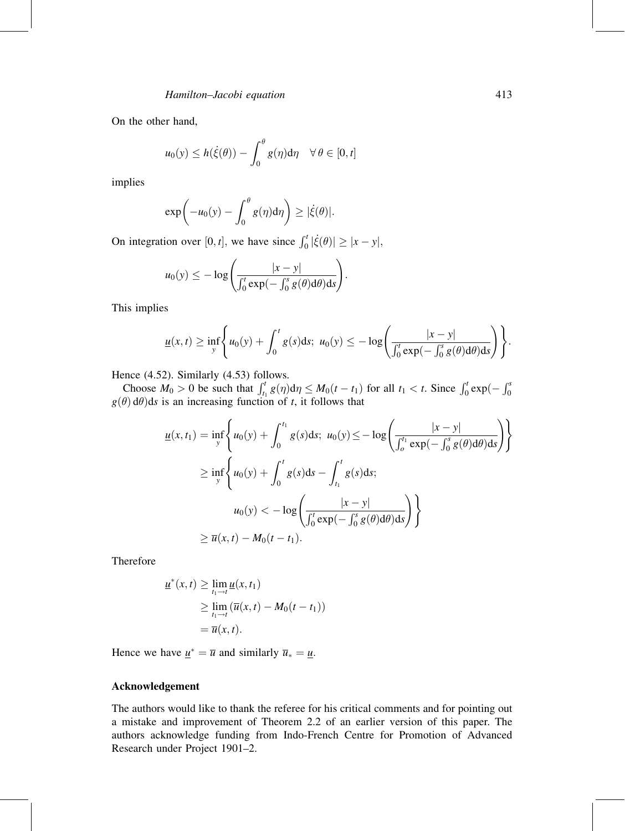On the other hand,

$$
u_0(y) \le h(\dot{\xi}(\theta)) - \int_0^{\theta} g(\eta) d\eta \quad \forall \, \theta \in [0, t]
$$

implies

$$
\exp\bigg(-u_0(y)-\int_0^\theta g(\eta)\mathrm{d}\eta\bigg)\geq|\dot{\xi}(\theta)|.
$$

On integration over [0, t], we have since  $\int_0^t |\dot{\xi}(\theta)| \ge |x - y|$ ,

$$
u_0(y) \leq -\log\left(\frac{|x-y|}{\int_0^t \exp(-\int_0^s g(\theta) d\theta) ds}\right).
$$

This implies

$$
\underline{u}(x,t) \geq \inf_{y} \Biggl\{ u_0(y) + \int_0^t g(s) ds; \ u_0(y) \leq -\log \Biggl( \frac{|x-y|}{\int_0^t \exp(-\int_0^s g(\theta) d\theta) ds} \Biggr) \Biggr\}.
$$

Hence (4.52). Similarly (4.53) follows.

Choose  $M_0 > 0$  be such that  $\int_{t_1}^t g(\eta) d\eta \leq M_0(t - t_1)$  for all  $t_1 < t$ . Since  $\int_0^t \exp(-\int_0^s g(\theta) d\theta) ds$  is an increasing function of t, it follows that

$$
\underline{u}(x,t_1) = \inf_{y} \left\{ u_0(y) + \int_0^{t_1} g(s)ds; \ u_0(y) \le -\log \left( \frac{|x-y|}{\int_0^{t_1} \exp(-\int_0^s g(\theta) d\theta) ds} \right) \right\}
$$
  
\n
$$
\ge \inf_{y} \left\{ u_0(y) + \int_0^t g(s) ds - \int_{t_1}^t g(s) ds; \ u_0(y) < -\log \left( \frac{|x-y|}{\int_0^t \exp(-\int_0^s g(\theta) d\theta) ds} \right) \right\}
$$
  
\n
$$
\ge \overline{u}(x,t) - M_0(t-t_1).
$$

Therefore

$$
\underline{u}^*(x,t) \geq \lim_{t_1 \to t} \underline{u}(x,t_1)
$$
  
\n
$$
\geq \lim_{t_1 \to t} (\overline{u}(x,t) - M_0(t-t_1))
$$
  
\n
$$
= \overline{u}(x,t).
$$

Hence we have  $\underline{u}^* = \overline{u}$  and similarly  $\overline{u}_* = \underline{u}$ .

#### Acknowledgement

The authors would like to thank the referee for his critical comments and for pointing out a mistake and improvement of Theorem 2.2 of an earlier version of this paper. The authors acknowledge funding from Indo-French Centre for Promotion of Advanced Research under Project 1901-2.